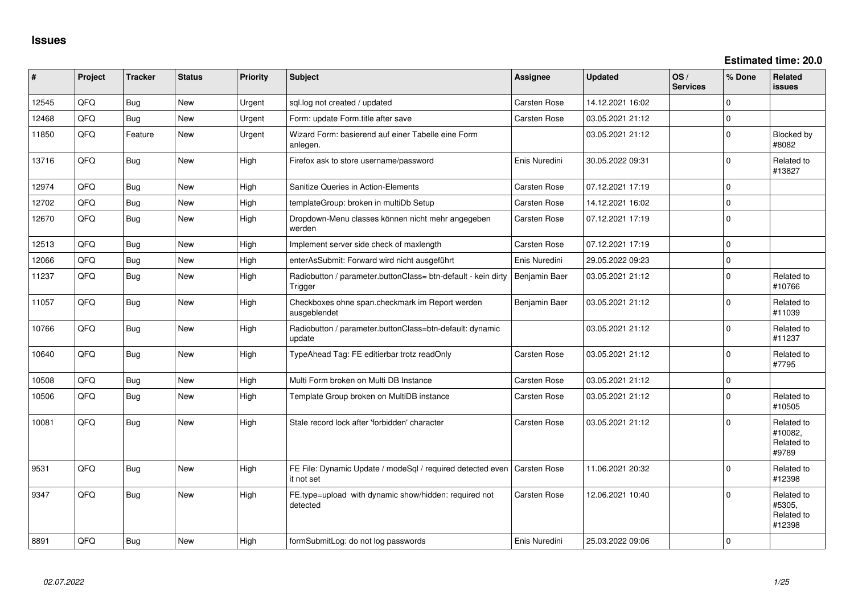**Estimated time: 20.0**

| #     | Project | <b>Tracker</b> | <b>Status</b> | <b>Priority</b> | <b>Subject</b>                                                           | Assignee            | <b>Updated</b>   | OS/<br><b>Services</b> | % Done      | Related<br><b>issues</b>                     |
|-------|---------|----------------|---------------|-----------------|--------------------------------------------------------------------------|---------------------|------------------|------------------------|-------------|----------------------------------------------|
| 12545 | QFQ     | <b>Bug</b>     | New           | Urgent          | sql.log not created / updated                                            | <b>Carsten Rose</b> | 14.12.2021 16:02 |                        | $\Omega$    |                                              |
| 12468 | QFQ     | <b>Bug</b>     | <b>New</b>    | Urgent          | Form: update Form.title after save                                       | <b>Carsten Rose</b> | 03.05.2021 21:12 |                        | $\mathbf 0$ |                                              |
| 11850 | QFQ     | Feature        | New           | Urgent          | Wizard Form: basierend auf einer Tabelle eine Form<br>anlegen.           |                     | 03.05.2021 21:12 |                        | $\mathbf 0$ | Blocked by<br>#8082                          |
| 13716 | QFQ     | <b>Bug</b>     | <b>New</b>    | High            | Firefox ask to store username/password                                   | Enis Nuredini       | 30.05.2022 09:31 |                        | $\Omega$    | Related to<br>#13827                         |
| 12974 | QFQ     | <b>Bug</b>     | <b>New</b>    | High            | Sanitize Queries in Action-Elements                                      | <b>Carsten Rose</b> | 07.12.2021 17:19 |                        | $\mathbf 0$ |                                              |
| 12702 | QFQ     | <b>Bug</b>     | <b>New</b>    | High            | templateGroup: broken in multiDb Setup                                   | <b>Carsten Rose</b> | 14.12.2021 16:02 |                        | $\mathbf 0$ |                                              |
| 12670 | QFQ     | <b>Bug</b>     | <b>New</b>    | High            | Dropdown-Menu classes können nicht mehr angegeben<br>werden              | <b>Carsten Rose</b> | 07.12.2021 17:19 |                        | $\Omega$    |                                              |
| 12513 | QFQ     | <b>Bug</b>     | New           | High            | Implement server side check of maxlength                                 | <b>Carsten Rose</b> | 07.12.2021 17:19 |                        | $\mathbf 0$ |                                              |
| 12066 | QFQ     | <b>Bug</b>     | <b>New</b>    | High            | enterAsSubmit: Forward wird nicht ausgeführt                             | Enis Nuredini       | 29.05.2022 09:23 |                        | $\mathbf 0$ |                                              |
| 11237 | QFQ     | Bug            | <b>New</b>    | High            | Radiobutton / parameter.buttonClass= btn-default - kein dirty<br>Trigger | Benjamin Baer       | 03.05.2021 21:12 |                        | $\Omega$    | Related to<br>#10766                         |
| 11057 | QFQ     | <b>Bug</b>     | New           | High            | Checkboxes ohne span.checkmark im Report werden<br>ausgeblendet          | Benjamin Baer       | 03.05.2021 21:12 |                        | $\mathbf 0$ | Related to<br>#11039                         |
| 10766 | QFQ     | <b>Bug</b>     | New           | High            | Radiobutton / parameter.buttonClass=btn-default: dynamic<br>update       |                     | 03.05.2021 21:12 |                        | $\Omega$    | Related to<br>#11237                         |
| 10640 | QFQ     | <b>Bug</b>     | New           | High            | TypeAhead Tag: FE editierbar trotz readOnly                              | <b>Carsten Rose</b> | 03.05.2021 21:12 |                        | $\mathbf 0$ | Related to<br>#7795                          |
| 10508 | QFQ     | <b>Bug</b>     | New           | High            | Multi Form broken on Multi DB Instance                                   | <b>Carsten Rose</b> | 03.05.2021 21:12 |                        | $\mathbf 0$ |                                              |
| 10506 | QFQ     | <b>Bug</b>     | <b>New</b>    | High            | Template Group broken on MultiDB instance                                | <b>Carsten Rose</b> | 03.05.2021 21:12 |                        | $\Omega$    | Related to<br>#10505                         |
| 10081 | QFQ     | <b>Bug</b>     | New           | High            | Stale record lock after 'forbidden' character                            | Carsten Rose        | 03.05.2021 21:12 |                        | $\Omega$    | Related to<br>#10082,<br>Related to<br>#9789 |
| 9531  | QFQ     | Bug            | <b>New</b>    | High            | FE File: Dynamic Update / modeSql / required detected even<br>it not set | <b>Carsten Rose</b> | 11.06.2021 20:32 |                        | $\Omega$    | Related to<br>#12398                         |
| 9347  | QFQ     | <b>Bug</b>     | New           | High            | FE.type=upload with dynamic show/hidden: required not<br>detected        | <b>Carsten Rose</b> | 12.06.2021 10:40 |                        | $\Omega$    | Related to<br>#5305,<br>Related to<br>#12398 |
| 8891  | QFQ     | <b>Bug</b>     | <b>New</b>    | High            | formSubmitLog: do not log passwords                                      | Enis Nuredini       | 25.03.2022 09:06 |                        | $\mathbf 0$ |                                              |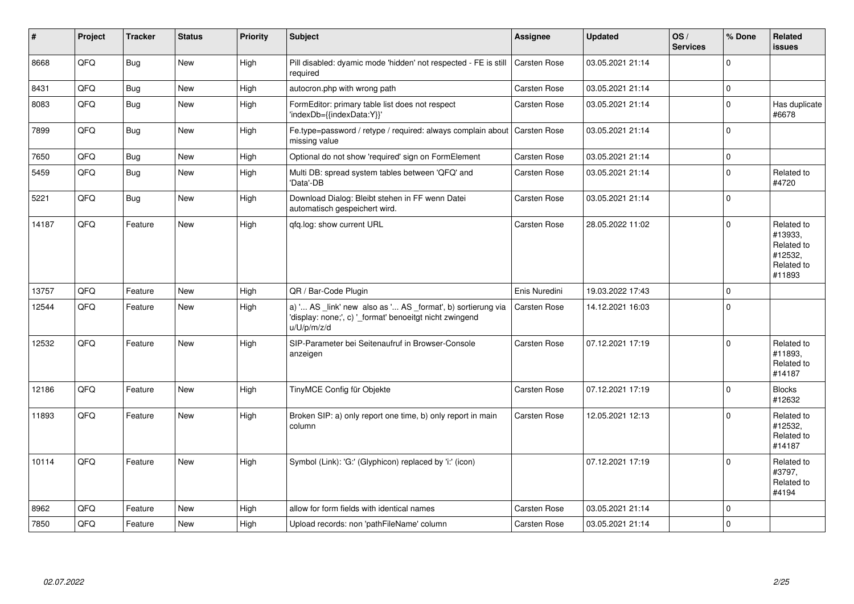| $\sharp$ | Project | <b>Tracker</b> | <b>Status</b> | <b>Priority</b> | <b>Subject</b>                                                                                                                        | <b>Assignee</b>     | <b>Updated</b>   | OS/<br><b>Services</b> | % Done   | Related<br>issues                                                      |
|----------|---------|----------------|---------------|-----------------|---------------------------------------------------------------------------------------------------------------------------------------|---------------------|------------------|------------------------|----------|------------------------------------------------------------------------|
| 8668     | QFQ     | Bug            | New           | High            | Pill disabled: dyamic mode 'hidden' not respected - FE is still<br>required                                                           | Carsten Rose        | 03.05.2021 21:14 |                        | 0        |                                                                        |
| 8431     | QFQ     | Bug            | <b>New</b>    | High            | autocron.php with wrong path                                                                                                          | Carsten Rose        | 03.05.2021 21:14 |                        | 0        |                                                                        |
| 8083     | QFQ     | <b>Bug</b>     | New           | High            | FormEditor: primary table list does not respect<br>'indexDb={{indexData:Y}}'                                                          | Carsten Rose        | 03.05.2021 21:14 |                        | 0        | Has duplicate<br>#6678                                                 |
| 7899     | QFQ     | Bug            | New           | High            | Fe.type=password / retype / required: always complain about<br>missing value                                                          | <b>Carsten Rose</b> | 03.05.2021 21:14 |                        | $\Omega$ |                                                                        |
| 7650     | QFQ     | Bug            | <b>New</b>    | High            | Optional do not show 'required' sign on FormElement                                                                                   | Carsten Rose        | 03.05.2021 21:14 |                        | 0        |                                                                        |
| 5459     | QFQ     | <b>Bug</b>     | New           | High            | Multi DB: spread system tables between 'QFQ' and<br>'Data'-DB                                                                         | Carsten Rose        | 03.05.2021 21:14 |                        | 0        | Related to<br>#4720                                                    |
| 5221     | QFQ     | Bug            | <b>New</b>    | High            | Download Dialog: Bleibt stehen in FF wenn Datei<br>automatisch gespeichert wird.                                                      | Carsten Rose        | 03.05.2021 21:14 |                        | 0        |                                                                        |
| 14187    | QFQ     | Feature        | New           | High            | qfq.log: show current URL                                                                                                             | Carsten Rose        | 28.05.2022 11:02 |                        | 0        | Related to<br>#13933,<br>Related to<br>#12532,<br>Related to<br>#11893 |
| 13757    | QFQ     | Feature        | <b>New</b>    | High            | QR / Bar-Code Plugin                                                                                                                  | Enis Nuredini       | 19.03.2022 17:43 |                        | 0        |                                                                        |
| 12544    | QFQ     | Feature        | <b>New</b>    | High            | a) ' AS _link' new also as ' AS _format', b) sortierung via<br>'display: none;', c) '_format' benoeitgt nicht zwingend<br>u/U/p/m/z/d | Carsten Rose        | 14.12.2021 16:03 |                        | $\Omega$ |                                                                        |
| 12532    | QFQ     | Feature        | New           | High            | SIP-Parameter bei Seitenaufruf in Browser-Console<br>anzeigen                                                                         | Carsten Rose        | 07.12.2021 17:19 |                        | $\Omega$ | Related to<br>#11893,<br>Related to<br>#14187                          |
| 12186    | QFQ     | Feature        | <b>New</b>    | High            | TinyMCE Config für Objekte                                                                                                            | Carsten Rose        | 07.12.2021 17:19 |                        | 0        | <b>Blocks</b><br>#12632                                                |
| 11893    | QFQ     | Feature        | New           | High            | Broken SIP: a) only report one time, b) only report in main<br>column                                                                 | Carsten Rose        | 12.05.2021 12:13 |                        | $\Omega$ | Related to<br>#12532,<br>Related to<br>#14187                          |
| 10114    | QFQ     | Feature        | <b>New</b>    | High            | Symbol (Link): 'G:' (Glyphicon) replaced by 'i:' (icon)                                                                               |                     | 07.12.2021 17:19 |                        | $\Omega$ | Related to<br>#3797,<br>Related to<br>#4194                            |
| 8962     | QFQ     | Feature        | New           | High            | allow for form fields with identical names                                                                                            | Carsten Rose        | 03.05.2021 21:14 |                        | $\Omega$ |                                                                        |
| 7850     | QFQ     | Feature        | <b>New</b>    | High            | Upload records: non 'pathFileName' column                                                                                             | Carsten Rose        | 03.05.2021 21:14 |                        | 0        |                                                                        |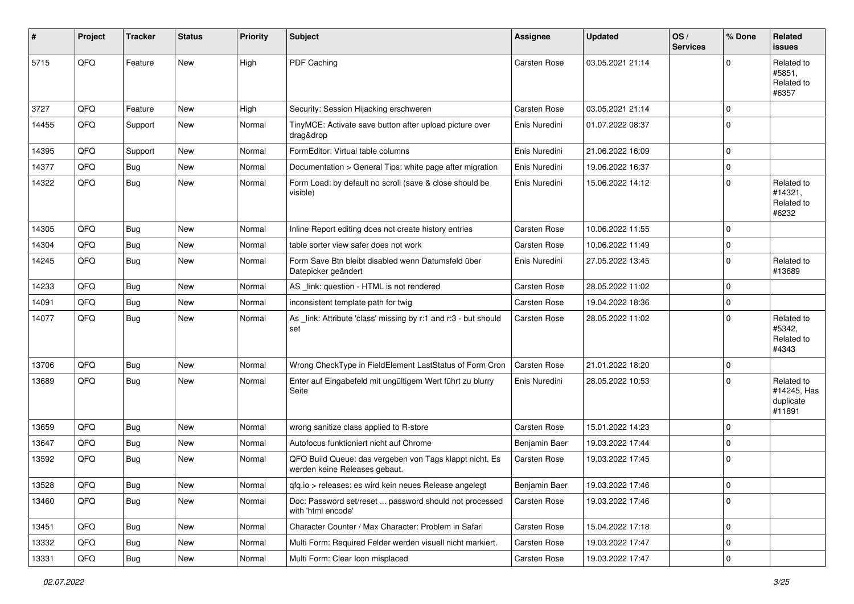| #     | Project | <b>Tracker</b> | <b>Status</b> | <b>Priority</b> | <b>Subject</b>                                                                           | <b>Assignee</b>     | <b>Updated</b>   | OS/<br><b>Services</b> | % Done      | Related<br>issues                                |
|-------|---------|----------------|---------------|-----------------|------------------------------------------------------------------------------------------|---------------------|------------------|------------------------|-------------|--------------------------------------------------|
| 5715  | QFQ     | Feature        | New           | High            | PDF Caching                                                                              | Carsten Rose        | 03.05.2021 21:14 |                        | $\Omega$    | Related to<br>#5851.<br>Related to<br>#6357      |
| 3727  | QFQ     | Feature        | <b>New</b>    | High            | Security: Session Hijacking erschweren                                                   | Carsten Rose        | 03.05.2021 21:14 |                        | 0           |                                                  |
| 14455 | QFQ     | Support        | New           | Normal          | TinyMCE: Activate save button after upload picture over<br>drag&drop                     | Enis Nuredini       | 01.07.2022 08:37 |                        | $\Omega$    |                                                  |
| 14395 | QFQ     | Support        | <b>New</b>    | Normal          | FormEditor: Virtual table columns                                                        | Enis Nuredini       | 21.06.2022 16:09 |                        | $\Omega$    |                                                  |
| 14377 | QFQ     | <b>Bug</b>     | <b>New</b>    | Normal          | Documentation > General Tips: white page after migration                                 | Enis Nuredini       | 19.06.2022 16:37 |                        | $\mathbf 0$ |                                                  |
| 14322 | QFQ     | Bug            | New           | Normal          | Form Load: by default no scroll (save & close should be<br>visible)                      | Enis Nuredini       | 15.06.2022 14:12 |                        | $\Omega$    | Related to<br>#14321,<br>Related to<br>#6232     |
| 14305 | QFQ     | Bug            | <b>New</b>    | Normal          | Inline Report editing does not create history entries                                    | Carsten Rose        | 10.06.2022 11:55 |                        | 0           |                                                  |
| 14304 | QFQ     | Bug            | New           | Normal          | table sorter view safer does not work                                                    | Carsten Rose        | 10.06.2022 11:49 |                        | 0           |                                                  |
| 14245 | QFQ     | Bug            | <b>New</b>    | Normal          | Form Save Btn bleibt disabled wenn Datumsfeld über<br>Datepicker geändert                | Enis Nuredini       | 27.05.2022 13:45 |                        | $\Omega$    | Related to<br>#13689                             |
| 14233 | QFQ     | Bug            | New           | Normal          | AS _link: question - HTML is not rendered                                                | Carsten Rose        | 28.05.2022 11:02 |                        | 0           |                                                  |
| 14091 | QFQ     | Bug            | New           | Normal          | inconsistent template path for twig                                                      | Carsten Rose        | 19.04.2022 18:36 |                        | 0           |                                                  |
| 14077 | QFQ     | <b>Bug</b>     | New           | Normal          | As _link: Attribute 'class' missing by r:1 and r:3 - but should<br>set                   | Carsten Rose        | 28.05.2022 11:02 |                        | $\Omega$    | Related to<br>#5342,<br>Related to<br>#4343      |
| 13706 | QFQ     | Bug            | <b>New</b>    | Normal          | Wrong CheckType in FieldElement LastStatus of Form Cron                                  | <b>Carsten Rose</b> | 21.01.2022 18:20 |                        | 0           |                                                  |
| 13689 | QFQ     | Bug            | New           | Normal          | Enter auf Eingabefeld mit ungültigem Wert führt zu blurry<br>Seite                       | Enis Nuredini       | 28.05.2022 10:53 |                        | $\Omega$    | Related to<br>#14245, Has<br>duplicate<br>#11891 |
| 13659 | QFQ     | Bug            | New           | Normal          | wrong sanitize class applied to R-store                                                  | Carsten Rose        | 15.01.2022 14:23 |                        | $\mathbf 0$ |                                                  |
| 13647 | QFQ     | Bug            | <b>New</b>    | Normal          | Autofocus funktioniert nicht auf Chrome                                                  | Benjamin Baer       | 19.03.2022 17:44 |                        | $\mathbf 0$ |                                                  |
| 13592 | QFQ     | <b>Bug</b>     | New           | Normal          | QFQ Build Queue: das vergeben von Tags klappt nicht. Es<br>werden keine Releases gebaut. | Carsten Rose        | 19.03.2022 17:45 |                        | $\Omega$    |                                                  |
| 13528 | QFG     | <b>Bug</b>     | New           | Normal          | qfq.io > releases: es wird kein neues Release angelegt                                   | Benjamin Baer       | 19.03.2022 17:46 |                        | $\mathbf 0$ |                                                  |
| 13460 | QFQ     | Bug            | New           | Normal          | Doc: Password set/reset  password should not processed<br>with 'html encode'             | Carsten Rose        | 19.03.2022 17:46 |                        | $\mathbf 0$ |                                                  |
| 13451 | QFQ     | <b>Bug</b>     | New           | Normal          | Character Counter / Max Character: Problem in Safari                                     | Carsten Rose        | 15.04.2022 17:18 |                        | $\pmb{0}$   |                                                  |
| 13332 | QFQ     | Bug            | New           | Normal          | Multi Form: Required Felder werden visuell nicht markiert.                               | Carsten Rose        | 19.03.2022 17:47 |                        | 0           |                                                  |
| 13331 | QFG     | Bug            | New           | Normal          | Multi Form: Clear Icon misplaced                                                         | Carsten Rose        | 19.03.2022 17:47 |                        | $\pmb{0}$   |                                                  |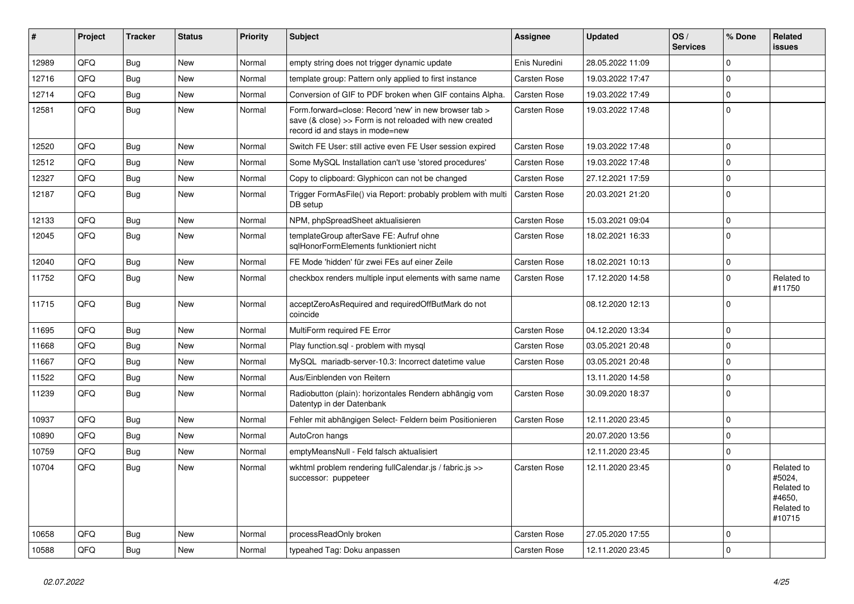| #     | Project | <b>Tracker</b> | <b>Status</b> | <b>Priority</b> | <b>Subject</b>                                                                                                                                      | <b>Assignee</b>     | <b>Updated</b>   | OS/<br><b>Services</b> | % Done         | Related<br>issues                                                    |
|-------|---------|----------------|---------------|-----------------|-----------------------------------------------------------------------------------------------------------------------------------------------------|---------------------|------------------|------------------------|----------------|----------------------------------------------------------------------|
| 12989 | QFQ     | Bug            | <b>New</b>    | Normal          | empty string does not trigger dynamic update                                                                                                        | Enis Nuredini       | 28.05.2022 11:09 |                        | $\Omega$       |                                                                      |
| 12716 | QFQ     | <b>Bug</b>     | New           | Normal          | template group: Pattern only applied to first instance                                                                                              | Carsten Rose        | 19.03.2022 17:47 |                        | $\Omega$       |                                                                      |
| 12714 | QFQ     | Bug            | <b>New</b>    | Normal          | Conversion of GIF to PDF broken when GIF contains Alpha.                                                                                            | Carsten Rose        | 19.03.2022 17:49 |                        | $\Omega$       |                                                                      |
| 12581 | QFQ     | <b>Bug</b>     | New           | Normal          | Form.forward=close: Record 'new' in new browser tab ><br>save (& close) >> Form is not reloaded with new created<br>record id and stays in mode=new | Carsten Rose        | 19.03.2022 17:48 |                        | $\Omega$       |                                                                      |
| 12520 | QFQ     | <b>Bug</b>     | <b>New</b>    | Normal          | Switch FE User: still active even FE User session expired                                                                                           | Carsten Rose        | 19.03.2022 17:48 |                        | $\Omega$       |                                                                      |
| 12512 | QFQ     | <b>Bug</b>     | <b>New</b>    | Normal          | Some MySQL Installation can't use 'stored procedures'                                                                                               | Carsten Rose        | 19.03.2022 17:48 |                        | $\Omega$       |                                                                      |
| 12327 | QFQ     | Bug            | <b>New</b>    | Normal          | Copy to clipboard: Glyphicon can not be changed                                                                                                     | Carsten Rose        | 27.12.2021 17:59 |                        | $\Omega$       |                                                                      |
| 12187 | QFQ     | Bug            | New           | Normal          | Trigger FormAsFile() via Report: probably problem with multi<br>DB setup                                                                            | Carsten Rose        | 20.03.2021 21:20 |                        | $\Omega$       |                                                                      |
| 12133 | QFQ     | <b>Bug</b>     | New           | Normal          | NPM, phpSpreadSheet aktualisieren                                                                                                                   | Carsten Rose        | 15.03.2021 09:04 |                        | $\Omega$       |                                                                      |
| 12045 | QFQ     | Bug            | New           | Normal          | templateGroup afterSave FE: Aufruf ohne<br>sglHonorFormElements funktioniert nicht                                                                  | Carsten Rose        | 18.02.2021 16:33 |                        | $\Omega$       |                                                                      |
| 12040 | QFQ     | <b>Bug</b>     | <b>New</b>    | Normal          | FE Mode 'hidden' für zwei FEs auf einer Zeile                                                                                                       | Carsten Rose        | 18.02.2021 10:13 |                        | $\overline{0}$ |                                                                      |
| 11752 | QFQ     | Bug            | New           | Normal          | checkbox renders multiple input elements with same name                                                                                             | Carsten Rose        | 17.12.2020 14:58 |                        | $\Omega$       | Related to<br>#11750                                                 |
| 11715 | QFQ     | Bug            | <b>New</b>    | Normal          | acceptZeroAsRequired and requiredOffButMark do not<br>coincide                                                                                      |                     | 08.12.2020 12:13 |                        | $\Omega$       |                                                                      |
| 11695 | QFQ     | <b>Bug</b>     | <b>New</b>    | Normal          | MultiForm required FE Error                                                                                                                         | Carsten Rose        | 04.12.2020 13:34 |                        | $\Omega$       |                                                                      |
| 11668 | QFQ     | <b>Bug</b>     | New           | Normal          | Play function.sql - problem with mysql                                                                                                              | Carsten Rose        | 03.05.2021 20:48 |                        | 0              |                                                                      |
| 11667 | QFQ     | <b>Bug</b>     | <b>New</b>    | Normal          | MySQL mariadb-server-10.3: Incorrect datetime value                                                                                                 | <b>Carsten Rose</b> | 03.05.2021 20:48 |                        | $\Omega$       |                                                                      |
| 11522 | QFQ     | Bug            | New           | Normal          | Aus/Einblenden von Reitern                                                                                                                          |                     | 13.11.2020 14:58 |                        | $\mathbf 0$    |                                                                      |
| 11239 | QFQ     | Bug            | New           | Normal          | Radiobutton (plain): horizontales Rendern abhängig vom<br>Datentyp in der Datenbank                                                                 | Carsten Rose        | 30.09.2020 18:37 |                        | $\Omega$       |                                                                      |
| 10937 | QFQ     | <b>Bug</b>     | New           | Normal          | Fehler mit abhängigen Select- Feldern beim Positionieren                                                                                            | Carsten Rose        | 12.11.2020 23:45 |                        | $\Omega$       |                                                                      |
| 10890 | QFQ     | <b>Bug</b>     | <b>New</b>    | Normal          | AutoCron hangs                                                                                                                                      |                     | 20.07.2020 13:56 |                        | $\Omega$       |                                                                      |
| 10759 | QFQ     | Bug            | <b>New</b>    | Normal          | emptyMeansNull - Feld falsch aktualisiert                                                                                                           |                     | 12.11.2020 23:45 |                        | $\overline{0}$ |                                                                      |
| 10704 | QFQ     | Bug            | New           | Normal          | wkhtml problem rendering fullCalendar.js / fabric.js >><br>successor: puppeteer                                                                     | Carsten Rose        | 12.11.2020 23:45 |                        | $\Omega$       | Related to<br>#5024,<br>Related to<br>#4650,<br>Related to<br>#10715 |
| 10658 | QFQ     | <b>Bug</b>     | <b>New</b>    | Normal          | processReadOnly broken                                                                                                                              | <b>Carsten Rose</b> | 27.05.2020 17:55 |                        | $\Omega$       |                                                                      |
| 10588 | QFQ     | <b>Bug</b>     | <b>New</b>    | Normal          | typeahed Tag: Doku anpassen                                                                                                                         | Carsten Rose        | 12.11.2020 23:45 |                        | $\Omega$       |                                                                      |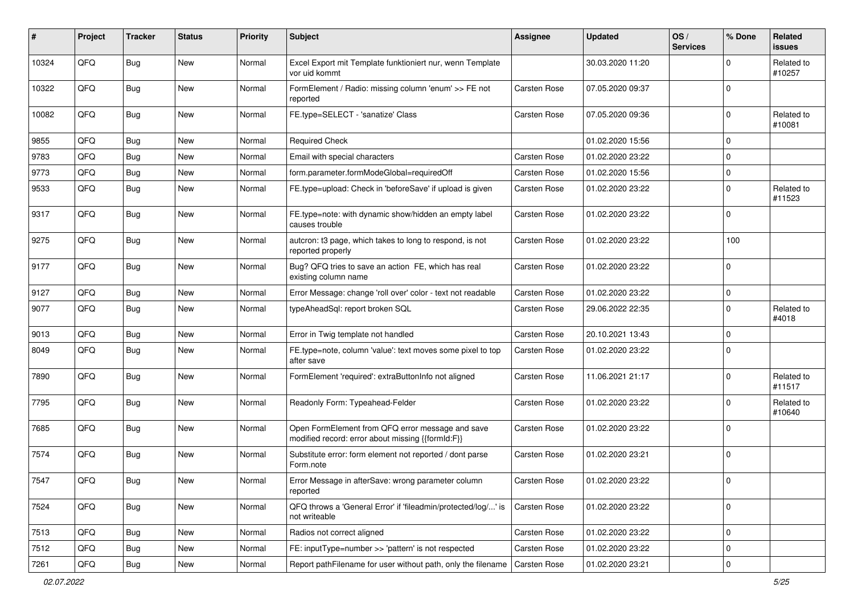| #     | Project        | <b>Tracker</b> | <b>Status</b> | <b>Priority</b> | <b>Subject</b>                                                                                        | Assignee            | <b>Updated</b>   | OS/<br><b>Services</b> | % Done      | Related<br><b>issues</b> |
|-------|----------------|----------------|---------------|-----------------|-------------------------------------------------------------------------------------------------------|---------------------|------------------|------------------------|-------------|--------------------------|
| 10324 | QFQ            | Bug            | New           | Normal          | Excel Export mit Template funktioniert nur, wenn Template<br>vor uid kommt                            |                     | 30.03.2020 11:20 |                        | $\Omega$    | Related to<br>#10257     |
| 10322 | QFQ            | Bug            | <b>New</b>    | Normal          | FormElement / Radio: missing column 'enum' >> FE not<br>reported                                      | <b>Carsten Rose</b> | 07.05.2020 09:37 |                        | $\mathbf 0$ |                          |
| 10082 | QFQ            | Bug            | New           | Normal          | FE.type=SELECT - 'sanatize' Class                                                                     | Carsten Rose        | 07.05.2020 09:36 |                        | $\mathbf 0$ | Related to<br>#10081     |
| 9855  | QFQ            | Bug            | <b>New</b>    | Normal          | <b>Required Check</b>                                                                                 |                     | 01.02.2020 15:56 |                        | $\mathbf 0$ |                          |
| 9783  | QFQ            | Bug            | <b>New</b>    | Normal          | Email with special characters                                                                         | Carsten Rose        | 01.02.2020 23:22 |                        | $\mathbf 0$ |                          |
| 9773  | QFQ            | Bug            | <b>New</b>    | Normal          | form.parameter.formModeGlobal=requiredOff                                                             | <b>Carsten Rose</b> | 01.02.2020 15:56 |                        | $\mathbf 0$ |                          |
| 9533  | QFQ            | Bug            | <b>New</b>    | Normal          | FE.type=upload: Check in 'beforeSave' if upload is given                                              | <b>Carsten Rose</b> | 01.02.2020 23:22 |                        | $\mathbf 0$ | Related to<br>#11523     |
| 9317  | QFQ            | Bug            | New           | Normal          | FE.type=note: with dynamic show/hidden an empty label<br>causes trouble                               | <b>Carsten Rose</b> | 01.02.2020 23:22 |                        | $\mathbf 0$ |                          |
| 9275  | QFQ            | Bug            | <b>New</b>    | Normal          | autcron: t3 page, which takes to long to respond, is not<br>reported properly                         | <b>Carsten Rose</b> | 01.02.2020 23:22 |                        | 100         |                          |
| 9177  | QFQ            | Bug            | New           | Normal          | Bug? QFQ tries to save an action FE, which has real<br>existing column name                           | Carsten Rose        | 01.02.2020 23:22 |                        | $\mathbf 0$ |                          |
| 9127  | QFQ            | Bug            | <b>New</b>    | Normal          | Error Message: change 'roll over' color - text not readable                                           | <b>Carsten Rose</b> | 01.02.2020 23:22 |                        | $\mathbf 0$ |                          |
| 9077  | QFQ            | Bug            | <b>New</b>    | Normal          | typeAheadSql: report broken SQL                                                                       | <b>Carsten Rose</b> | 29.06.2022 22:35 |                        | $\Omega$    | Related to<br>#4018      |
| 9013  | QFQ            | Bug            | New           | Normal          | Error in Twig template not handled                                                                    | <b>Carsten Rose</b> | 20.10.2021 13:43 |                        | $\mathbf 0$ |                          |
| 8049  | QFQ            | Bug            | New           | Normal          | FE.type=note, column 'value': text moves some pixel to top<br>after save                              | <b>Carsten Rose</b> | 01.02.2020 23:22 |                        | $\mathbf 0$ |                          |
| 7890  | QFQ            | Bug            | New           | Normal          | FormElement 'required': extraButtonInfo not aligned                                                   | <b>Carsten Rose</b> | 11.06.2021 21:17 |                        | $\mathbf 0$ | Related to<br>#11517     |
| 7795  | QFQ            | Bug            | New           | Normal          | Readonly Form: Typeahead-Felder                                                                       | <b>Carsten Rose</b> | 01.02.2020 23:22 |                        | $\mathbf 0$ | Related to<br>#10640     |
| 7685  | QFQ            | Bug            | <b>New</b>    | Normal          | Open FormElement from QFQ error message and save<br>modified record: error about missing {{formId:F}} | <b>Carsten Rose</b> | 01.02.2020 23:22 |                        | $\mathbf 0$ |                          |
| 7574  | QFQ            | <b>Bug</b>     | <b>New</b>    | Normal          | Substitute error: form element not reported / dont parse<br>Form.note                                 | <b>Carsten Rose</b> | 01.02.2020 23:21 |                        | $\Omega$    |                          |
| 7547  | $\mathsf{QFQ}$ | Bug            | New           | Normal          | Error Message in afterSave: wrong parameter column<br>reported                                        | Carsten Rose        | 01.02.2020 23:22 |                        | $\mathbf 0$ |                          |
| 7524  | QFQ            | <b>Bug</b>     | New           | Normal          | QFQ throws a 'General Error' if 'fileadmin/protected/log/' is<br>not writeable                        | Carsten Rose        | 01.02.2020 23:22 |                        | 0           |                          |
| 7513  | QFQ            | <b>Bug</b>     | New           | Normal          | Radios not correct aligned                                                                            | Carsten Rose        | 01.02.2020 23:22 |                        | $\mathbf 0$ |                          |
| 7512  | QFQ            | <b>Bug</b>     | New           | Normal          | FE: inputType=number >> 'pattern' is not respected                                                    | Carsten Rose        | 01.02.2020 23:22 |                        | 0           |                          |
| 7261  | QFQ            | Bug            | New           | Normal          | Report pathFilename for user without path, only the filename                                          | <b>Carsten Rose</b> | 01.02.2020 23:21 |                        | $\mathbf 0$ |                          |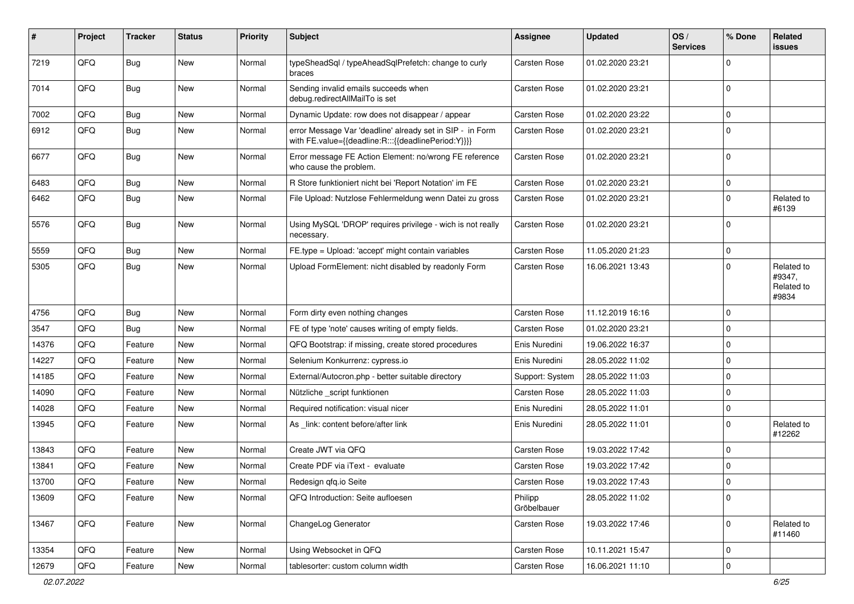| #     | Project | <b>Tracker</b> | <b>Status</b> | <b>Priority</b> | <b>Subject</b>                                                                                                   | <b>Assignee</b>        | <b>Updated</b>   | OS/<br><b>Services</b> | % Done         | Related<br><b>issues</b>                    |
|-------|---------|----------------|---------------|-----------------|------------------------------------------------------------------------------------------------------------------|------------------------|------------------|------------------------|----------------|---------------------------------------------|
| 7219  | QFQ     | <b>Bug</b>     | New           | Normal          | typeSheadSql / typeAheadSqlPrefetch: change to curly<br>braces                                                   | Carsten Rose           | 01.02.2020 23:21 |                        | $\Omega$       |                                             |
| 7014  | QFQ     | Bug            | <b>New</b>    | Normal          | Sending invalid emails succeeds when<br>debug.redirectAllMailTo is set                                           | Carsten Rose           | 01.02.2020 23:21 |                        | $\mathbf 0$    |                                             |
| 7002  | QFQ     | <b>Bug</b>     | <b>New</b>    | Normal          | Dynamic Update: row does not disappear / appear                                                                  | Carsten Rose           | 01.02.2020 23:22 |                        | $\mathbf 0$    |                                             |
| 6912  | QFQ     | <b>Bug</b>     | <b>New</b>    | Normal          | error Message Var 'deadline' already set in SIP - in Form<br>with FE.value={{deadline:R:::{{deadlinePeriod:Y}}}} | Carsten Rose           | 01.02.2020 23:21 |                        | $\mathbf 0$    |                                             |
| 6677  | QFQ     | Bug            | <b>New</b>    | Normal          | Error message FE Action Element: no/wrong FE reference<br>who cause the problem.                                 | Carsten Rose           | 01.02.2020 23:21 |                        | $\mathbf 0$    |                                             |
| 6483  | QFQ     | <b>Bug</b>     | <b>New</b>    | Normal          | R Store funktioniert nicht bei 'Report Notation' im FE                                                           | Carsten Rose           | 01.02.2020 23:21 |                        | $\mathbf 0$    |                                             |
| 6462  | QFQ     | Bug            | New           | Normal          | File Upload: Nutzlose Fehlermeldung wenn Datei zu gross                                                          | Carsten Rose           | 01.02.2020 23:21 |                        | $\mathbf 0$    | Related to<br>#6139                         |
| 5576  | QFQ     | <b>Bug</b>     | New           | Normal          | Using MySQL 'DROP' requires privilege - wich is not really<br>necessary.                                         | Carsten Rose           | 01.02.2020 23:21 |                        | $\mathbf 0$    |                                             |
| 5559  | QFQ     | <b>Bug</b>     | New           | Normal          | FE.type = Upload: 'accept' might contain variables                                                               | Carsten Rose           | 11.05.2020 21:23 |                        | $\mathbf 0$    |                                             |
| 5305  | QFQ     | Bug            | New           | Normal          | Upload FormElement: nicht disabled by readonly Form                                                              | Carsten Rose           | 16.06.2021 13:43 |                        | $\mathbf 0$    | Related to<br>#9347,<br>Related to<br>#9834 |
| 4756  | QFQ     | <b>Bug</b>     | <b>New</b>    | Normal          | Form dirty even nothing changes                                                                                  | Carsten Rose           | 11.12.2019 16:16 |                        | $\mathbf 0$    |                                             |
| 3547  | QFQ     | Bug            | <b>New</b>    | Normal          | FE of type 'note' causes writing of empty fields.                                                                | Carsten Rose           | 01.02.2020 23:21 |                        | $\mathbf 0$    |                                             |
| 14376 | QFQ     | Feature        | <b>New</b>    | Normal          | QFQ Bootstrap: if missing, create stored procedures                                                              | Enis Nuredini          | 19.06.2022 16:37 |                        | $\mathbf 0$    |                                             |
| 14227 | QFQ     | Feature        | <b>New</b>    | Normal          | Selenium Konkurrenz: cypress.io                                                                                  | Enis Nuredini          | 28.05.2022 11:02 |                        | $\mathbf 0$    |                                             |
| 14185 | QFQ     | Feature        | New           | Normal          | External/Autocron.php - better suitable directory                                                                | Support: System        | 28.05.2022 11:03 |                        | $\mathbf 0$    |                                             |
| 14090 | QFQ     | Feature        | <b>New</b>    | Normal          | Nützliche _script funktionen                                                                                     | Carsten Rose           | 28.05.2022 11:03 |                        | $\mathbf 0$    |                                             |
| 14028 | QFQ     | Feature        | <b>New</b>    | Normal          | Required notification: visual nicer                                                                              | Enis Nuredini          | 28.05.2022 11:01 |                        | 0              |                                             |
| 13945 | QFQ     | Feature        | <b>New</b>    | Normal          | As _link: content before/after link                                                                              | Enis Nuredini          | 28.05.2022 11:01 |                        | $\mathbf 0$    | Related to<br>#12262                        |
| 13843 | QFQ     | Feature        | New           | Normal          | Create JWT via QFQ                                                                                               | Carsten Rose           | 19.03.2022 17:42 |                        | $\mathbf 0$    |                                             |
| 13841 | QFQ     | Feature        | New           | Normal          | Create PDF via iText - evaluate                                                                                  | Carsten Rose           | 19.03.2022 17:42 |                        | $\overline{0}$ |                                             |
| 13700 | QFQ     | Feature        | New           | Normal          | Redesign qfq.io Seite                                                                                            | Carsten Rose           | 19.03.2022 17:43 |                        | $\Omega$       |                                             |
| 13609 | QFQ     | Feature        | New           | Normal          | QFQ Introduction: Seite aufloesen                                                                                | Philipp<br>Gröbelbauer | 28.05.2022 11:02 |                        | $\pmb{0}$      |                                             |
| 13467 | QFQ     | Feature        | New           | Normal          | ChangeLog Generator                                                                                              | Carsten Rose           | 19.03.2022 17:46 |                        | $\mathbf 0$    | Related to<br>#11460                        |
| 13354 | QFQ     | Feature        | New           | Normal          | Using Websocket in QFQ                                                                                           | Carsten Rose           | 10.11.2021 15:47 |                        | $\mathbf 0$    |                                             |
| 12679 | QFQ     | Feature        | New           | Normal          | tablesorter: custom column width                                                                                 | Carsten Rose           | 16.06.2021 11:10 |                        | $\mathbf 0$    |                                             |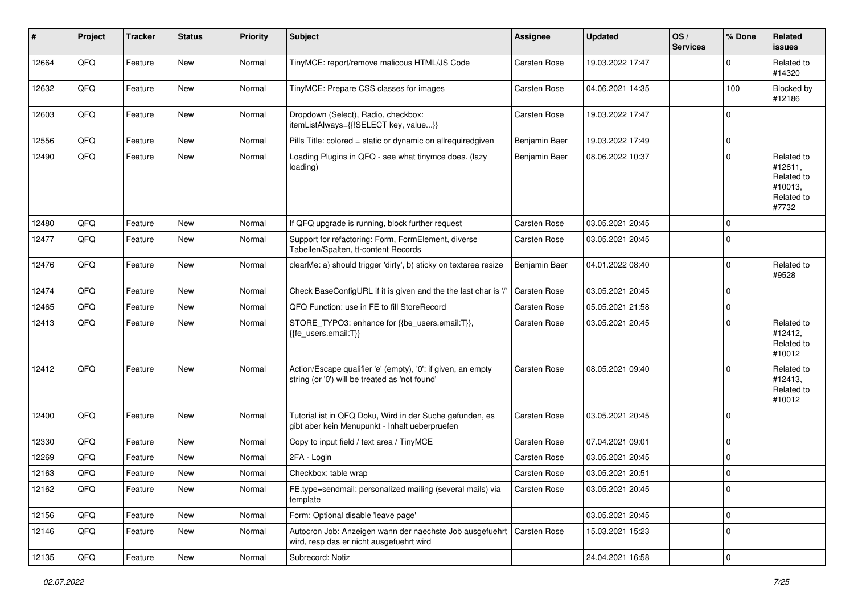| $\vert$ # | Project | <b>Tracker</b> | <b>Status</b> | <b>Priority</b> | <b>Subject</b>                                                                                                 | <b>Assignee</b>     | <b>Updated</b>   | OS/<br><b>Services</b> | % Done      | Related<br><b>issues</b>                                              |
|-----------|---------|----------------|---------------|-----------------|----------------------------------------------------------------------------------------------------------------|---------------------|------------------|------------------------|-------------|-----------------------------------------------------------------------|
| 12664     | QFQ     | Feature        | <b>New</b>    | Normal          | TinyMCE: report/remove malicous HTML/JS Code                                                                   | Carsten Rose        | 19.03.2022 17:47 |                        | $\Omega$    | Related to<br>#14320                                                  |
| 12632     | QFQ     | Feature        | New           | Normal          | TinyMCE: Prepare CSS classes for images                                                                        | Carsten Rose        | 04.06.2021 14:35 |                        | 100         | Blocked by<br>#12186                                                  |
| 12603     | QFQ     | Feature        | <b>New</b>    | Normal          | Dropdown (Select), Radio, checkbox:<br>itemListAlways={{!SELECT key, value}}                                   | Carsten Rose        | 19.03.2022 17:47 |                        | $\mathbf 0$ |                                                                       |
| 12556     | QFQ     | Feature        | New           | Normal          | Pills Title: colored = static or dynamic on allrequiredgiven                                                   | Benjamin Baer       | 19.03.2022 17:49 |                        | 0           |                                                                       |
| 12490     | QFQ     | Feature        | New           | Normal          | Loading Plugins in QFQ - see what tinymce does. (lazy<br>loading)                                              | Benjamin Baer       | 08.06.2022 10:37 |                        | 0           | Related to<br>#12611,<br>Related to<br>#10013,<br>Related to<br>#7732 |
| 12480     | QFQ     | Feature        | New           | Normal          | If QFQ upgrade is running, block further request                                                               | Carsten Rose        | 03.05.2021 20:45 |                        | $\Omega$    |                                                                       |
| 12477     | QFQ     | Feature        | New           | Normal          | Support for refactoring: Form, FormElement, diverse<br>Tabellen/Spalten, tt-content Records                    | Carsten Rose        | 03.05.2021 20:45 |                        | $\mathbf 0$ |                                                                       |
| 12476     | QFQ     | Feature        | New           | Normal          | clearMe: a) should trigger 'dirty', b) sticky on textarea resize                                               | Benjamin Baer       | 04.01.2022 08:40 |                        | $\Omega$    | Related to<br>#9528                                                   |
| 12474     | QFQ     | Feature        | New           | Normal          | Check BaseConfigURL if it is given and the the last char is '/'                                                | Carsten Rose        | 03.05.2021 20:45 |                        | $\Omega$    |                                                                       |
| 12465     | QFQ     | Feature        | New           | Normal          | QFQ Function: use in FE to fill StoreRecord                                                                    | Carsten Rose        | 05.05.2021 21:58 |                        | 0           |                                                                       |
| 12413     | QFQ     | Feature        | New           | Normal          | STORE_TYPO3: enhance for {{be_users.email:T}},<br>{{fe users.email:T}}                                         | Carsten Rose        | 03.05.2021 20:45 |                        | $\mathbf 0$ | Related to<br>#12412,<br>Related to<br>#10012                         |
| 12412     | QFQ     | Feature        | New           | Normal          | Action/Escape qualifier 'e' (empty), '0': if given, an empty<br>string (or '0') will be treated as 'not found' | Carsten Rose        | 08.05.2021 09:40 |                        | $\Omega$    | Related to<br>#12413,<br>Related to<br>#10012                         |
| 12400     | QFQ     | Feature        | New           | Normal          | Tutorial ist in QFQ Doku, Wird in der Suche gefunden, es<br>gibt aber kein Menupunkt - Inhalt ueberpruefen     | Carsten Rose        | 03.05.2021 20:45 |                        | 0           |                                                                       |
| 12330     | QFQ     | Feature        | New           | Normal          | Copy to input field / text area / TinyMCE                                                                      | Carsten Rose        | 07.04.2021 09:01 |                        | 0           |                                                                       |
| 12269     | QFQ     | Feature        | New           | Normal          | 2FA - Login                                                                                                    | Carsten Rose        | 03.05.2021 20:45 |                        | 0           |                                                                       |
| 12163     | QFQ     | Feature        | New           | Normal          | Checkbox: table wrap                                                                                           | Carsten Rose        | 03.05.2021 20:51 |                        | 0           |                                                                       |
| 12162     | QFQ     | Feature        | New           | Normal          | FE.type=sendmail: personalized mailing (several mails) via<br>template                                         | <b>Carsten Rose</b> | 03.05.2021 20:45 |                        | 0           |                                                                       |
| 12156     | QFQ     | Feature        | New           | Normal          | Form: Optional disable 'leave page'                                                                            |                     | 03.05.2021 20:45 |                        | 0           |                                                                       |
| 12146     | QFQ     | Feature        | New           | Normal          | Autocron Job: Anzeigen wann der naechste Job ausgefuehrt<br>wird, resp das er nicht ausgefuehrt wird           | Carsten Rose        | 15.03.2021 15:23 |                        | 0           |                                                                       |
| 12135     | QFQ     | Feature        | New           | Normal          | Subrecord: Notiz                                                                                               |                     | 24.04.2021 16:58 |                        | 0           |                                                                       |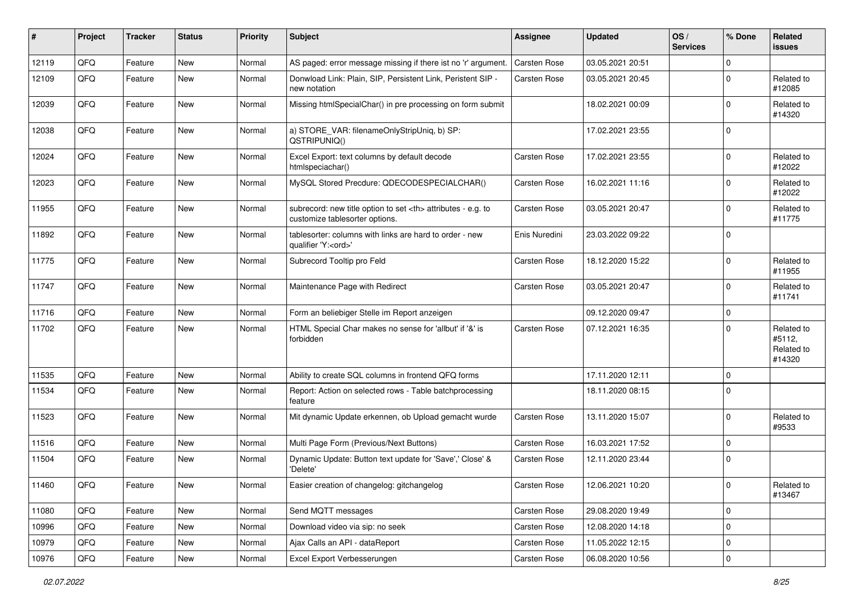| ∦     | Project | <b>Tracker</b> | <b>Status</b> | <b>Priority</b> | <b>Subject</b>                                                                                       | <b>Assignee</b>                                        | <b>Updated</b>   | OS/<br><b>Services</b> | % Done      | Related<br>issues                            |                      |
|-------|---------|----------------|---------------|-----------------|------------------------------------------------------------------------------------------------------|--------------------------------------------------------|------------------|------------------------|-------------|----------------------------------------------|----------------------|
| 12119 | QFQ     | Feature        | New           | Normal          | AS paged: error message missing if there ist no 'r' argument.                                        | Carsten Rose                                           | 03.05.2021 20:51 |                        | 0           |                                              |                      |
| 12109 | QFQ     | Feature        | New           | Normal          | Donwload Link: Plain, SIP, Persistent Link, Peristent SIP -<br>new notation                          | Carsten Rose                                           | 03.05.2021 20:45 |                        | $\mathbf 0$ | Related to<br>#12085                         |                      |
| 12039 | QFQ     | Feature        | New           | Normal          | Missing htmlSpecialChar() in pre processing on form submit                                           |                                                        | 18.02.2021 00:09 |                        | 0           | Related to<br>#14320                         |                      |
| 12038 | QFQ     | Feature        | New           | Normal          | a) STORE_VAR: filenameOnlyStripUniq, b) SP:<br>QSTRIPUNIQ()                                          |                                                        | 17.02.2021 23:55 |                        | $\Omega$    |                                              |                      |
| 12024 | QFQ     | Feature        | New           | Normal          | Excel Export: text columns by default decode<br>htmlspeciachar()                                     | Carsten Rose                                           | 17.02.2021 23:55 |                        | 0           | Related to<br>#12022                         |                      |
| 12023 | QFQ     | Feature        | New           | Normal          | MySQL Stored Precdure: QDECODESPECIALCHAR()                                                          | Carsten Rose                                           | 16.02.2021 11:16 |                        | 0           | Related to<br>#12022                         |                      |
| 11955 | QFQ     | Feature        | <b>New</b>    | Normal          | subrecord: new title option to set <th> attributes - e.g. to<br/>customize tablesorter options.</th> | attributes - e.g. to<br>customize tablesorter options. | Carsten Rose     | 03.05.2021 20:47       |             | $\Omega$                                     | Related to<br>#11775 |
| 11892 | QFQ     | Feature        | <b>New</b>    | Normal          | tablesorter: columns with links are hard to order - new<br>qualifier 'Y: <ord>'</ord>                | Enis Nuredini                                          | 23.03.2022 09:22 |                        | $\Omega$    |                                              |                      |
| 11775 | QFQ     | Feature        | <b>New</b>    | Normal          | Subrecord Tooltip pro Feld                                                                           | Carsten Rose                                           | 18.12.2020 15:22 |                        | 0           | Related to<br>#11955                         |                      |
| 11747 | QFQ     | Feature        | New           | Normal          | Maintenance Page with Redirect                                                                       | Carsten Rose                                           | 03.05.2021 20:47 |                        | 0           | Related to<br>#11741                         |                      |
| 11716 | QFQ     | Feature        | New           | Normal          | Form an beliebiger Stelle im Report anzeigen                                                         |                                                        | 09.12.2020 09:47 |                        | $\mathbf 0$ |                                              |                      |
| 11702 | QFQ     | Feature        | New           | Normal          | HTML Special Char makes no sense for 'allbut' if '&' is<br>forbidden                                 | Carsten Rose                                           | 07.12.2021 16:35 |                        | $\Omega$    | Related to<br>#5112,<br>Related to<br>#14320 |                      |
| 11535 | QFQ     | Feature        | <b>New</b>    | Normal          | Ability to create SQL columns in frontend QFQ forms                                                  |                                                        | 17.11.2020 12:11 |                        | 0           |                                              |                      |
| 11534 | QFQ     | Feature        | <b>New</b>    | Normal          | Report: Action on selected rows - Table batchprocessing<br>feature                                   |                                                        | 18.11.2020 08:15 |                        | $\Omega$    |                                              |                      |
| 11523 | QFQ     | Feature        | New           | Normal          | Mit dynamic Update erkennen, ob Upload gemacht wurde                                                 | Carsten Rose                                           | 13.11.2020 15:07 |                        | 0           | Related to<br>#9533                          |                      |
| 11516 | QFQ     | Feature        | New           | Normal          | Multi Page Form (Previous/Next Buttons)                                                              | Carsten Rose                                           | 16.03.2021 17:52 |                        | $\Omega$    |                                              |                      |
| 11504 | QFQ     | Feature        | New           | Normal          | Dynamic Update: Button text update for 'Save',' Close' &<br>'Delete'                                 | Carsten Rose                                           | 12.11.2020 23:44 |                        | $\Omega$    |                                              |                      |
| 11460 | QFQ     | Feature        | New           | Normal          | Easier creation of changelog: gitchangelog                                                           | Carsten Rose                                           | 12.06.2021 10:20 |                        | 0           | Related to<br>#13467                         |                      |
| 11080 | QFQ     | Feature        | New           | Normal          | Send MQTT messages                                                                                   | Carsten Rose                                           | 29.08.2020 19:49 |                        | $\pmb{0}$   |                                              |                      |
| 10996 | QFQ     | Feature        | New           | Normal          | Download video via sip: no seek                                                                      | Carsten Rose                                           | 12.08.2020 14:18 |                        | 0           |                                              |                      |
| 10979 | QFQ     | Feature        | New           | Normal          | Ajax Calls an API - dataReport                                                                       | Carsten Rose                                           | 11.05.2022 12:15 |                        | 0           |                                              |                      |
| 10976 | QFG     | Feature        | New           | Normal          | Excel Export Verbesserungen                                                                          | Carsten Rose                                           | 06.08.2020 10:56 |                        | $\pmb{0}$   |                                              |                      |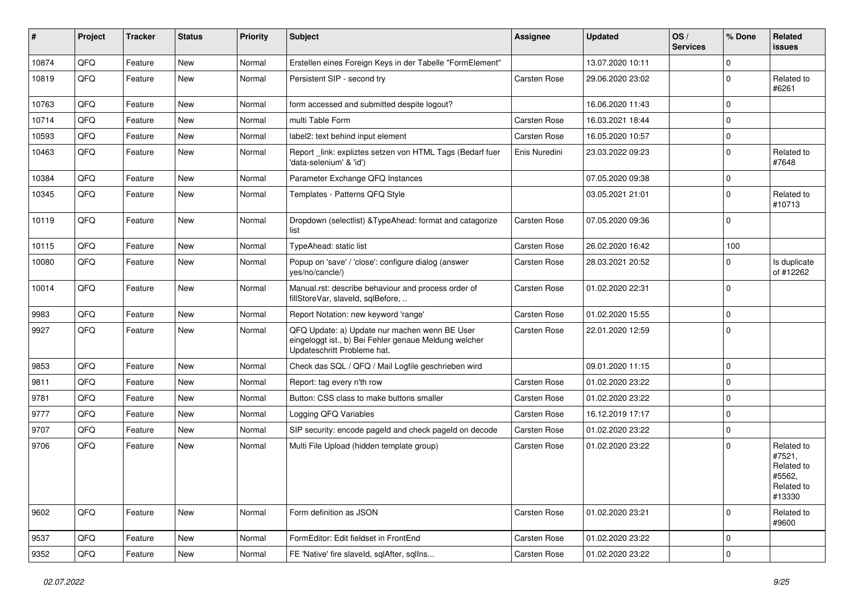| ∦     | Project | <b>Tracker</b> | <b>Status</b> | <b>Priority</b> | Subject                                                                                                                               | <b>Assignee</b> | <b>Updated</b>   | OS/<br><b>Services</b> | % Done      | Related<br><b>issues</b>                                             |
|-------|---------|----------------|---------------|-----------------|---------------------------------------------------------------------------------------------------------------------------------------|-----------------|------------------|------------------------|-------------|----------------------------------------------------------------------|
| 10874 | QFQ     | Feature        | <b>New</b>    | Normal          | Erstellen eines Foreign Keys in der Tabelle "FormElement"                                                                             |                 | 13.07.2020 10:11 |                        | $\Omega$    |                                                                      |
| 10819 | QFQ     | Feature        | <b>New</b>    | Normal          | Persistent SIP - second try                                                                                                           | Carsten Rose    | 29.06.2020 23:02 |                        | $\Omega$    | Related to<br>#6261                                                  |
| 10763 | QFQ     | Feature        | <b>New</b>    | Normal          | form accessed and submitted despite logout?                                                                                           |                 | 16.06.2020 11:43 |                        | $\Omega$    |                                                                      |
| 10714 | QFQ     | Feature        | New           | Normal          | multi Table Form                                                                                                                      | Carsten Rose    | 16.03.2021 18:44 |                        | $\Omega$    |                                                                      |
| 10593 | QFQ     | Feature        | New           | Normal          | label2: text behind input element                                                                                                     | Carsten Rose    | 16.05.2020 10:57 |                        | $\Omega$    |                                                                      |
| 10463 | QFQ     | Feature        | New           | Normal          | Report _link: expliztes setzen von HTML Tags (Bedarf fuer<br>'data-selenium' & 'id')                                                  | Enis Nuredini   | 23.03.2022 09:23 |                        | $\Omega$    | Related to<br>#7648                                                  |
| 10384 | QFQ     | Feature        | <b>New</b>    | Normal          | Parameter Exchange QFQ Instances                                                                                                      |                 | 07.05.2020 09:38 |                        | $\Omega$    |                                                                      |
| 10345 | QFQ     | Feature        | New           | Normal          | Templates - Patterns QFQ Style                                                                                                        |                 | 03.05.2021 21:01 |                        | $\Omega$    | Related to<br>#10713                                                 |
| 10119 | QFQ     | Feature        | <b>New</b>    | Normal          | Dropdown (selectlist) & Type Ahead: format and catagorize<br>list                                                                     | Carsten Rose    | 07.05.2020 09:36 |                        | $\Omega$    |                                                                      |
| 10115 | QFQ     | Feature        | New           | Normal          | TypeAhead: static list                                                                                                                | Carsten Rose    | 26.02.2020 16:42 |                        | 100         |                                                                      |
| 10080 | QFQ     | Feature        | New           | Normal          | Popup on 'save' / 'close': configure dialog (answer<br>yes/no/cancle/)                                                                | Carsten Rose    | 28.03.2021 20:52 |                        | $\Omega$    | Is duplicate<br>of #12262                                            |
| 10014 | QFQ     | Feature        | <b>New</b>    | Normal          | Manual.rst: describe behaviour and process order of<br>fillStoreVar, slaveId, sqlBefore,                                              | Carsten Rose    | 01.02.2020 22:31 |                        | $\Omega$    |                                                                      |
| 9983  | QFQ     | Feature        | <b>New</b>    | Normal          | Report Notation: new keyword 'range'                                                                                                  | Carsten Rose    | 01.02.2020 15:55 |                        | $\Omega$    |                                                                      |
| 9927  | QFQ     | Feature        | <b>New</b>    | Normal          | QFQ Update: a) Update nur machen wenn BE User<br>eingeloggt ist., b) Bei Fehler genaue Meldung welcher<br>Updateschritt Probleme hat. | Carsten Rose    | 22.01.2020 12:59 |                        | $\Omega$    |                                                                      |
| 9853  | QFQ     | Feature        | <b>New</b>    | Normal          | Check das SQL / QFQ / Mail Logfile geschrieben wird                                                                                   |                 | 09.01.2020 11:15 |                        | $\Omega$    |                                                                      |
| 9811  | QFQ     | Feature        | New           | Normal          | Report: tag every n'th row                                                                                                            | Carsten Rose    | 01.02.2020 23:22 |                        | $\Omega$    |                                                                      |
| 9781  | QFQ     | Feature        | <b>New</b>    | Normal          | Button: CSS class to make buttons smaller                                                                                             | Carsten Rose    | 01.02.2020 23:22 |                        | $\Omega$    |                                                                      |
| 9777  | QFQ     | Feature        | New           | Normal          | Logging QFQ Variables                                                                                                                 | Carsten Rose    | 16.12.2019 17:17 |                        | $\Omega$    |                                                                      |
| 9707  | QFQ     | Feature        | New           | Normal          | SIP security: encode pageld and check pageld on decode                                                                                | Carsten Rose    | 01.02.2020 23:22 |                        | $\Omega$    |                                                                      |
| 9706  | QFQ     | Feature        | New           | Normal          | Multi File Upload (hidden template group)                                                                                             | Carsten Rose    | 01.02.2020 23:22 |                        | $\Omega$    | Related to<br>#7521,<br>Related to<br>#5562,<br>Related to<br>#13330 |
| 9602  | QFQ     | Feature        | New           | Normal          | Form definition as JSON                                                                                                               | Carsten Rose    | 01.02.2020 23:21 |                        | $\mathbf 0$ | Related to<br>#9600                                                  |
| 9537  | QFQ     | Feature        | New           | Normal          | FormEditor: Edit fieldset in FrontEnd                                                                                                 | Carsten Rose    | 01.02.2020 23:22 |                        | 0           |                                                                      |
| 9352  | QFQ     | Feature        | New           | Normal          | FE 'Native' fire slaveld, sqlAfter, sqlIns                                                                                            | Carsten Rose    | 01.02.2020 23:22 |                        | $\pmb{0}$   |                                                                      |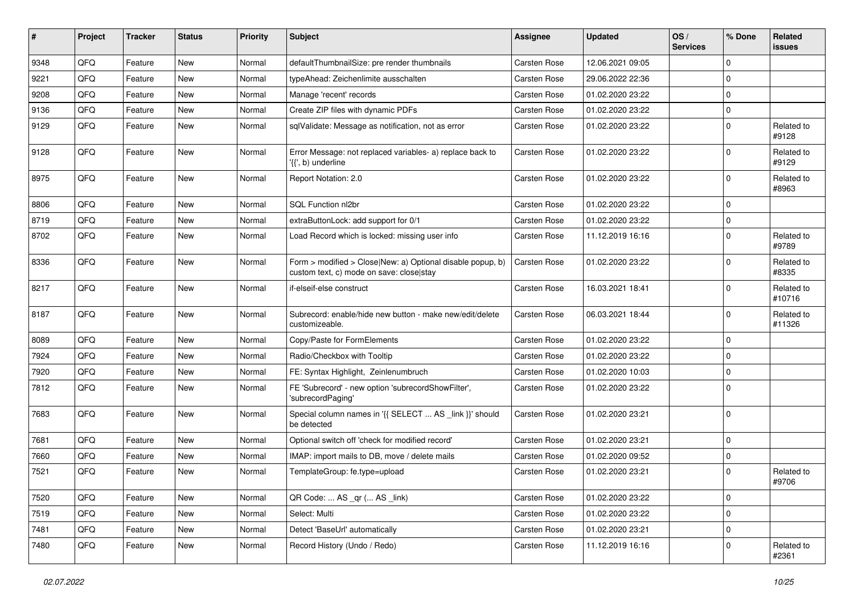| #    | Project | <b>Tracker</b> | <b>Status</b> | <b>Priority</b> | Subject                                                                                                | <b>Assignee</b> | <b>Updated</b>   | OS/<br><b>Services</b> | % Done      | Related<br><b>issues</b> |
|------|---------|----------------|---------------|-----------------|--------------------------------------------------------------------------------------------------------|-----------------|------------------|------------------------|-------------|--------------------------|
| 9348 | QFQ     | Feature        | <b>New</b>    | Normal          | defaultThumbnailSize: pre render thumbnails                                                            | Carsten Rose    | 12.06.2021 09:05 |                        | $\Omega$    |                          |
| 9221 | QFQ     | Feature        | New           | Normal          | typeAhead: Zeichenlimite ausschalten                                                                   | Carsten Rose    | 29.06.2022 22:36 |                        | $\mathbf 0$ |                          |
| 9208 | QFQ     | Feature        | New           | Normal          | Manage 'recent' records                                                                                | Carsten Rose    | 01.02.2020 23:22 |                        | $\mathbf 0$ |                          |
| 9136 | QFQ     | Feature        | New           | Normal          | Create ZIP files with dynamic PDFs                                                                     | Carsten Rose    | 01.02.2020 23:22 |                        | $\mathbf 0$ |                          |
| 9129 | QFQ     | Feature        | New           | Normal          | sqlValidate: Message as notification, not as error                                                     | Carsten Rose    | 01.02.2020 23:22 |                        | $\mathbf 0$ | Related to<br>#9128      |
| 9128 | QFQ     | Feature        | New           | Normal          | Error Message: not replaced variables- a) replace back to<br>'{{', b) underline                        | Carsten Rose    | 01.02.2020 23:22 |                        | $\mathbf 0$ | Related to<br>#9129      |
| 8975 | QFQ     | Feature        | <b>New</b>    | Normal          | Report Notation: 2.0                                                                                   | Carsten Rose    | 01.02.2020 23:22 |                        | $\mathbf 0$ | Related to<br>#8963      |
| 8806 | QFQ     | Feature        | New           | Normal          | SQL Function nl2br                                                                                     | Carsten Rose    | 01.02.2020 23:22 |                        | $\Omega$    |                          |
| 8719 | QFQ     | Feature        | <b>New</b>    | Normal          | extraButtonLock: add support for 0/1                                                                   | Carsten Rose    | 01.02.2020 23:22 |                        | $\mathbf 0$ |                          |
| 8702 | QFQ     | Feature        | New           | Normal          | Load Record which is locked: missing user info                                                         | Carsten Rose    | 11.12.2019 16:16 |                        | $\mathbf 0$ | Related to<br>#9789      |
| 8336 | QFQ     | Feature        | <b>New</b>    | Normal          | Form > modified > Close New: a) Optional disable popup, b)<br>custom text, c) mode on save: close stay | Carsten Rose    | 01.02.2020 23:22 |                        | $\mathbf 0$ | Related to<br>#8335      |
| 8217 | QFQ     | Feature        | <b>New</b>    | Normal          | if-elseif-else construct                                                                               | Carsten Rose    | 16.03.2021 18:41 |                        | $\mathbf 0$ | Related to<br>#10716     |
| 8187 | QFQ     | Feature        | New           | Normal          | Subrecord: enable/hide new button - make new/edit/delete<br>customizeable.                             | Carsten Rose    | 06.03.2021 18:44 |                        | $\mathbf 0$ | Related to<br>#11326     |
| 8089 | QFQ     | Feature        | New           | Normal          | Copy/Paste for FormElements                                                                            | Carsten Rose    | 01.02.2020 23:22 |                        | $\mathbf 0$ |                          |
| 7924 | QFQ     | Feature        | New           | Normal          | Radio/Checkbox with Tooltip                                                                            | Carsten Rose    | 01.02.2020 23:22 |                        | $\mathbf 0$ |                          |
| 7920 | QFQ     | Feature        | <b>New</b>    | Normal          | FE: Syntax Highlight, Zeinlenumbruch                                                                   | Carsten Rose    | 01.02.2020 10:03 |                        | $\mathbf 0$ |                          |
| 7812 | QFQ     | Feature        | New           | Normal          | FE 'Subrecord' - new option 'subrecordShowFilter',<br>'subrecordPaging'                                | Carsten Rose    | 01.02.2020 23:22 |                        | $\mathbf 0$ |                          |
| 7683 | QFQ     | Feature        | <b>New</b>    | Normal          | Special column names in '{{ SELECT  AS _link }}' should<br>be detected                                 | Carsten Rose    | 01.02.2020 23:21 |                        | $\mathbf 0$ |                          |
| 7681 | QFQ     | Feature        | <b>New</b>    | Normal          | Optional switch off 'check for modified record'                                                        | Carsten Rose    | 01.02.2020 23:21 |                        | $\mathbf 0$ |                          |
| 7660 | QFQ     | Feature        | New           | Normal          | IMAP: import mails to DB, move / delete mails                                                          | Carsten Rose    | 01.02.2020 09:52 |                        | $\pmb{0}$   |                          |
| 7521 | QFQ     | Feature        | New           | Normal          | TemplateGroup: fe.type=upload                                                                          | Carsten Rose    | 01.02.2020 23:21 |                        | $\mathbf 0$ | Related to<br>#9706      |
| 7520 | QFQ     | Feature        | New           | Normal          | QR Code:  AS _qr ( AS _link)                                                                           | Carsten Rose    | 01.02.2020 23:22 |                        | 0           |                          |
| 7519 | QFQ     | Feature        | New           | Normal          | Select: Multi                                                                                          | Carsten Rose    | 01.02.2020 23:22 |                        | $\mathbf 0$ |                          |
| 7481 | QFQ     | Feature        | New           | Normal          | Detect 'BaseUrl' automatically                                                                         | Carsten Rose    | 01.02.2020 23:21 |                        | 0           |                          |
| 7480 | QFQ     | Feature        | New           | Normal          | Record History (Undo / Redo)                                                                           | Carsten Rose    | 11.12.2019 16:16 |                        | $\mathbf 0$ | Related to<br>#2361      |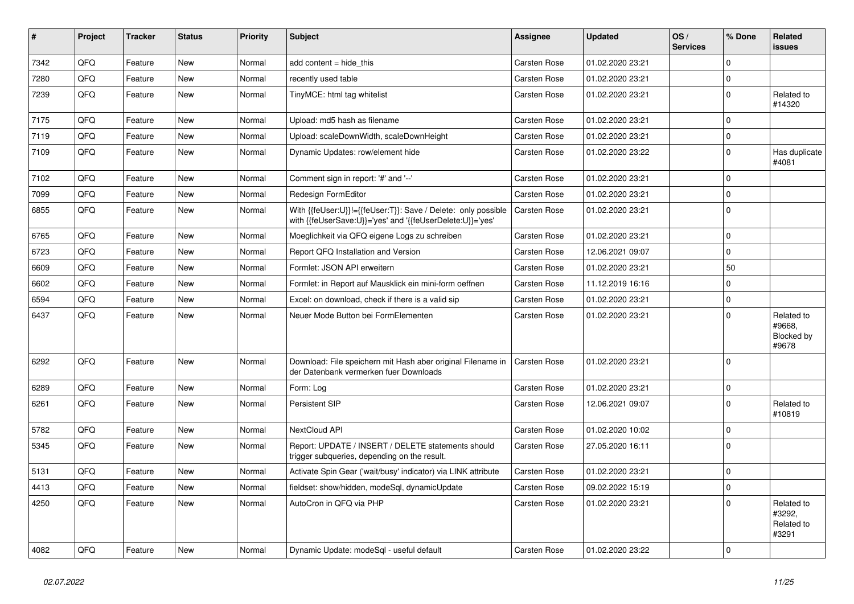| $\vert$ # | Project | <b>Tracker</b> | <b>Status</b> | <b>Priority</b> | <b>Subject</b>                                                                                                             | Assignee            | <b>Updated</b>   | OS/<br><b>Services</b> | % Done      | Related<br>issues                           |
|-----------|---------|----------------|---------------|-----------------|----------------------------------------------------------------------------------------------------------------------------|---------------------|------------------|------------------------|-------------|---------------------------------------------|
| 7342      | QFQ     | Feature        | <b>New</b>    | Normal          | add content $=$ hide this                                                                                                  | Carsten Rose        | 01.02.2020 23:21 |                        | $\Omega$    |                                             |
| 7280      | QFQ     | Feature        | <b>New</b>    | Normal          | recently used table                                                                                                        | Carsten Rose        | 01.02.2020 23:21 |                        | 0           |                                             |
| 7239      | QFQ     | Feature        | New           | Normal          | TinyMCE: html tag whitelist                                                                                                | Carsten Rose        | 01.02.2020 23:21 |                        | $\pmb{0}$   | Related to<br>#14320                        |
| 7175      | QFQ     | Feature        | <b>New</b>    | Normal          | Upload: md5 hash as filename                                                                                               | Carsten Rose        | 01.02.2020 23:21 |                        | 0           |                                             |
| 7119      | QFQ     | Feature        | <b>New</b>    | Normal          | Upload: scaleDownWidth, scaleDownHeight                                                                                    | Carsten Rose        | 01.02.2020 23:21 |                        | $\mathbf 0$ |                                             |
| 7109      | QFQ     | Feature        | <b>New</b>    | Normal          | Dynamic Updates: row/element hide                                                                                          | Carsten Rose        | 01.02.2020 23:22 |                        | $\mathbf 0$ | Has duplicate<br>#4081                      |
| 7102      | QFQ     | Feature        | New           | Normal          | Comment sign in report: '#' and '--'                                                                                       | Carsten Rose        | 01.02.2020 23:21 |                        | $\mathbf 0$ |                                             |
| 7099      | QFQ     | Feature        | New           | Normal          | Redesign FormEditor                                                                                                        | Carsten Rose        | 01.02.2020 23:21 |                        | 0           |                                             |
| 6855      | QFQ     | Feature        | New           | Normal          | With {{feUser:U}}!={{feUser:T}}: Save / Delete: only possible<br>with {{feUserSave:U}}='yes' and '{{feUserDelete:U}}='yes' | Carsten Rose        | 01.02.2020 23:21 |                        | $\mathbf 0$ |                                             |
| 6765      | QFQ     | Feature        | <b>New</b>    | Normal          | Moeglichkeit via QFQ eigene Logs zu schreiben                                                                              | Carsten Rose        | 01.02.2020 23:21 |                        | 0           |                                             |
| 6723      | QFQ     | Feature        | New           | Normal          | Report QFQ Installation and Version                                                                                        | Carsten Rose        | 12.06.2021 09:07 |                        | $\mathbf 0$ |                                             |
| 6609      | QFQ     | Feature        | New           | Normal          | Formlet: JSON API erweitern                                                                                                | Carsten Rose        | 01.02.2020 23:21 |                        | 50          |                                             |
| 6602      | QFQ     | Feature        | New           | Normal          | Formlet: in Report auf Mausklick ein mini-form oeffnen                                                                     | Carsten Rose        | 11.12.2019 16:16 |                        | $\mathbf 0$ |                                             |
| 6594      | QFQ     | Feature        | New           | Normal          | Excel: on download, check if there is a valid sip                                                                          | Carsten Rose        | 01.02.2020 23:21 |                        | 0           |                                             |
| 6437      | QFQ     | Feature        | New           | Normal          | Neuer Mode Button bei FormElementen                                                                                        | Carsten Rose        | 01.02.2020 23:21 |                        | $\mathbf 0$ | Related to<br>#9668,<br>Blocked by<br>#9678 |
| 6292      | QFQ     | Feature        | <b>New</b>    | Normal          | Download: File speichern mit Hash aber original Filename in<br>der Datenbank vermerken fuer Downloads                      | <b>Carsten Rose</b> | 01.02.2020 23:21 |                        | $\mathbf 0$ |                                             |
| 6289      | QFQ     | Feature        | New           | Normal          | Form: Log                                                                                                                  | Carsten Rose        | 01.02.2020 23:21 |                        | 0           |                                             |
| 6261      | QFQ     | Feature        | New           | Normal          | Persistent SIP                                                                                                             | Carsten Rose        | 12.06.2021 09:07 |                        | $\mathbf 0$ | Related to<br>#10819                        |
| 5782      | QFQ     | Feature        | <b>New</b>    | Normal          | <b>NextCloud API</b>                                                                                                       | Carsten Rose        | 01.02.2020 10:02 |                        | $\pmb{0}$   |                                             |
| 5345      | QFQ     | Feature        | New           | Normal          | Report: UPDATE / INSERT / DELETE statements should<br>trigger subqueries, depending on the result.                         | Carsten Rose        | 27.05.2020 16:11 |                        | $\Omega$    |                                             |
| 5131      | QFQ     | Feature        | <b>New</b>    | Normal          | Activate Spin Gear ('wait/busy' indicator) via LINK attribute                                                              | Carsten Rose        | 01.02.2020 23:21 |                        | $\mathbf 0$ |                                             |
| 4413      | QFQ     | Feature        | New           | Normal          | fieldset: show/hidden, modeSql, dynamicUpdate                                                                              | Carsten Rose        | 09.02.2022 15:19 |                        | $\pmb{0}$   |                                             |
| 4250      | QFQ     | Feature        | <b>New</b>    | Normal          | AutoCron in QFQ via PHP                                                                                                    | Carsten Rose        | 01.02.2020 23:21 |                        | $\mathbf 0$ | Related to<br>#3292,<br>Related to<br>#3291 |
| 4082      | QFQ     | Feature        | New           | Normal          | Dynamic Update: modeSql - useful default                                                                                   | Carsten Rose        | 01.02.2020 23:22 |                        | $\mathbf 0$ |                                             |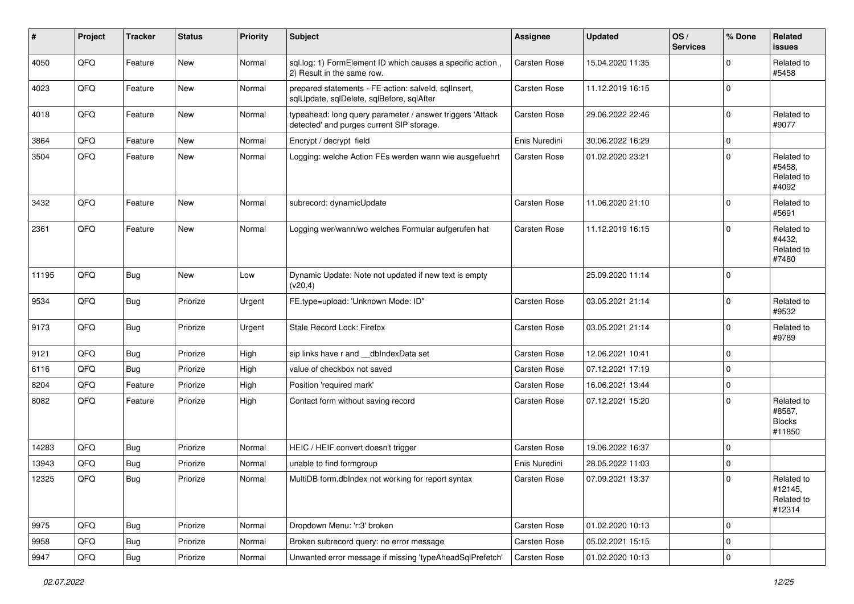| #     | Project | <b>Tracker</b> | <b>Status</b> | <b>Priority</b> | <b>Subject</b>                                                                                         | <b>Assignee</b> | <b>Updated</b>   | OS/<br><b>Services</b> | % Done         | Related<br>issues                               |
|-------|---------|----------------|---------------|-----------------|--------------------------------------------------------------------------------------------------------|-----------------|------------------|------------------------|----------------|-------------------------------------------------|
| 4050  | QFQ     | Feature        | New           | Normal          | sql.log: 1) FormElement ID which causes a specific action,<br>2) Result in the same row.               | Carsten Rose    | 15.04.2020 11:35 |                        | $\Omega$       | Related to<br>#5458                             |
| 4023  | QFQ     | Feature        | <b>New</b>    | Normal          | prepared statements - FE action: salveld, sqllnsert,<br>sqlUpdate, sqlDelete, sqlBefore, sqlAfter      | Carsten Rose    | 11.12.2019 16:15 |                        | $\mathbf 0$    |                                                 |
| 4018  | QFQ     | Feature        | New           | Normal          | typeahead: long query parameter / answer triggers 'Attack<br>detected' and purges current SIP storage. | Carsten Rose    | 29.06.2022 22:46 |                        | $\mathbf 0$    | Related to<br>#9077                             |
| 3864  | QFQ     | Feature        | <b>New</b>    | Normal          | Encrypt / decrypt field                                                                                | Enis Nuredini   | 30.06.2022 16:29 |                        | $\mathbf 0$    |                                                 |
| 3504  | QFQ     | Feature        | <b>New</b>    | Normal          | Logging: welche Action FEs werden wann wie ausgefuehrt                                                 | Carsten Rose    | 01.02.2020 23:21 |                        | $\Omega$       | Related to<br>#5458.<br>Related to<br>#4092     |
| 3432  | QFQ     | Feature        | <b>New</b>    | Normal          | subrecord: dynamicUpdate                                                                               | Carsten Rose    | 11.06.2020 21:10 |                        | $\Omega$       | Related to<br>#5691                             |
| 2361  | QFQ     | Feature        | <b>New</b>    | Normal          | Logging wer/wann/wo welches Formular aufgerufen hat                                                    | Carsten Rose    | 11.12.2019 16:15 |                        | $\Omega$       | Related to<br>#4432,<br>Related to<br>#7480     |
| 11195 | QFQ     | Bug            | <b>New</b>    | Low             | Dynamic Update: Note not updated if new text is empty<br>(v20.4)                                       |                 | 25.09.2020 11:14 |                        | $\mathbf 0$    |                                                 |
| 9534  | QFQ     | Bug            | Priorize      | Urgent          | FE.type=upload: 'Unknown Mode: ID"                                                                     | Carsten Rose    | 03.05.2021 21:14 |                        | $\mathbf 0$    | Related to<br>#9532                             |
| 9173  | QFQ     | <b>Bug</b>     | Priorize      | Urgent          | Stale Record Lock: Firefox                                                                             | Carsten Rose    | 03.05.2021 21:14 |                        | $\mathbf 0$    | Related to<br>#9789                             |
| 9121  | QFQ     | Bug            | Priorize      | High            | sip links have r and __dbIndexData set                                                                 | Carsten Rose    | 12.06.2021 10:41 |                        | $\mathbf 0$    |                                                 |
| 6116  | QFQ     | Bug            | Priorize      | High            | value of checkbox not saved                                                                            | Carsten Rose    | 07.12.2021 17:19 |                        | $\mathbf 0$    |                                                 |
| 8204  | QFQ     | Feature        | Priorize      | High            | Position 'required mark'                                                                               | Carsten Rose    | 16.06.2021 13:44 |                        | $\mathbf 0$    |                                                 |
| 8082  | QFQ     | Feature        | Priorize      | High            | Contact form without saving record                                                                     | Carsten Rose    | 07.12.2021 15:20 |                        | $\Omega$       | Related to<br>#8587,<br><b>Blocks</b><br>#11850 |
| 14283 | QFQ     | Bug            | Priorize      | Normal          | HEIC / HEIF convert doesn't trigger                                                                    | Carsten Rose    | 19.06.2022 16:37 |                        | $\mathbf 0$    |                                                 |
| 13943 | QFQ     | Bug            | Priorize      | Normal          | unable to find formgroup                                                                               | Enis Nuredini   | 28.05.2022 11:03 |                        | 0              |                                                 |
| 12325 | QFQ     | Bug            | Priorize      | Normal          | MultiDB form.dbIndex not working for report syntax                                                     | Carsten Rose    | 07.09.2021 13:37 |                        | $\mathbf 0$    | Related to<br>#12145,<br>Related to<br>#12314   |
| 9975  | QFQ     | Bug            | Priorize      | Normal          | Dropdown Menu: 'r:3' broken                                                                            | Carsten Rose    | 01.02.2020 10:13 |                        | 0              |                                                 |
| 9958  | QFQ     | <b>Bug</b>     | Priorize      | Normal          | Broken subrecord query: no error message                                                               | Carsten Rose    | 05.02.2021 15:15 |                        | $\pmb{0}$      |                                                 |
| 9947  | QFQ     | <b>Bug</b>     | Priorize      | Normal          | Unwanted error message if missing 'typeAheadSqlPrefetch'                                               | Carsten Rose    | 01.02.2020 10:13 |                        | $\overline{0}$ |                                                 |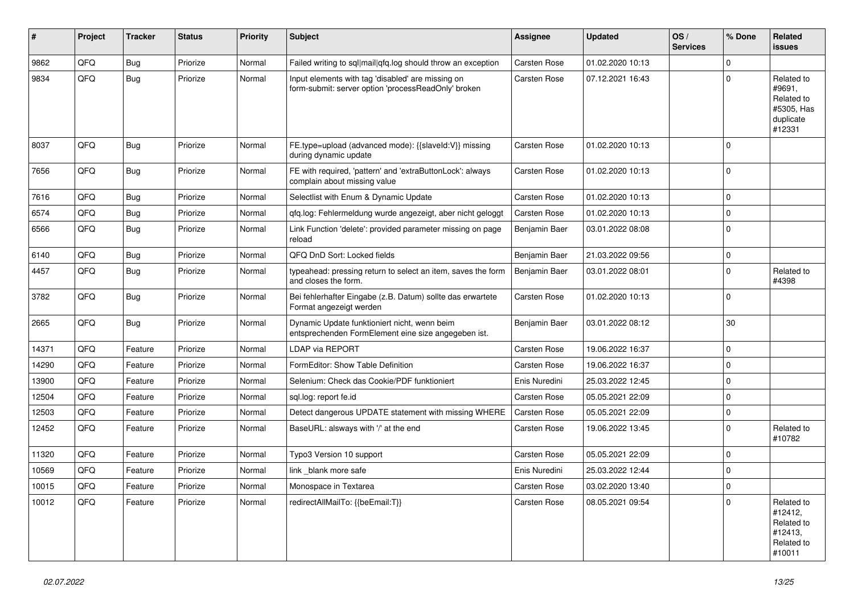| #     | Project | <b>Tracker</b> | <b>Status</b> | <b>Priority</b> | <b>Subject</b>                                                                                           | <b>Assignee</b>     | <b>Updated</b>   | OS/<br><b>Services</b> | % Done   | Related<br>issues                                                       |
|-------|---------|----------------|---------------|-----------------|----------------------------------------------------------------------------------------------------------|---------------------|------------------|------------------------|----------|-------------------------------------------------------------------------|
| 9862  | QFQ     | <b>Bug</b>     | Priorize      | Normal          | Failed writing to sql mail qfq.log should throw an exception                                             | Carsten Rose        | 01.02.2020 10:13 |                        | $\Omega$ |                                                                         |
| 9834  | QFQ     | <b>Bug</b>     | Priorize      | Normal          | Input elements with tag 'disabled' are missing on<br>form-submit: server option 'processReadOnly' broken | Carsten Rose        | 07.12.2021 16:43 |                        | $\Omega$ | Related to<br>#9691,<br>Related to<br>#5305, Has<br>duplicate<br>#12331 |
| 8037  | QFQ     | <b>Bug</b>     | Priorize      | Normal          | FE.type=upload (advanced mode): {{slaveld:V}} missing<br>during dynamic update                           | Carsten Rose        | 01.02.2020 10:13 |                        | $\Omega$ |                                                                         |
| 7656  | QFQ     | Bug            | Priorize      | Normal          | FE with required, 'pattern' and 'extraButtonLock': always<br>complain about missing value                | Carsten Rose        | 01.02.2020 10:13 |                        | 0        |                                                                         |
| 7616  | QFQ     | <b>Bug</b>     | Priorize      | Normal          | Selectlist with Enum & Dynamic Update                                                                    | Carsten Rose        | 01.02.2020 10:13 |                        | 0        |                                                                         |
| 6574  | QFQ     | <b>Bug</b>     | Priorize      | Normal          | qfq.log: Fehlermeldung wurde angezeigt, aber nicht geloggt                                               | Carsten Rose        | 01.02.2020 10:13 |                        | 0        |                                                                         |
| 6566  | QFQ     | <b>Bug</b>     | Priorize      | Normal          | Link Function 'delete': provided parameter missing on page<br>reload                                     | Benjamin Baer       | 03.01.2022 08:08 |                        | $\Omega$ |                                                                         |
| 6140  | QFQ     | Bug            | Priorize      | Normal          | QFQ DnD Sort: Locked fields                                                                              | Benjamin Baer       | 21.03.2022 09:56 |                        | $\Omega$ |                                                                         |
| 4457  | QFQ     | Bug            | Priorize      | Normal          | typeahead: pressing return to select an item, saves the form<br>and closes the form.                     | Benjamin Baer       | 03.01.2022 08:01 |                        | 0        | Related to<br>#4398                                                     |
| 3782  | QFQ     | Bug            | Priorize      | Normal          | Bei fehlerhafter Eingabe (z.B. Datum) sollte das erwartete<br>Format angezeigt werden                    | Carsten Rose        | 01.02.2020 10:13 |                        | $\Omega$ |                                                                         |
| 2665  | QFQ     | Bug            | Priorize      | Normal          | Dynamic Update funktioniert nicht, wenn beim<br>entsprechenden FormElement eine size angegeben ist.      | Benjamin Baer       | 03.01.2022 08:12 |                        | 30       |                                                                         |
| 14371 | QFQ     | Feature        | Priorize      | Normal          | LDAP via REPORT                                                                                          | Carsten Rose        | 19.06.2022 16:37 |                        | $\Omega$ |                                                                         |
| 14290 | QFQ     | Feature        | Priorize      | Normal          | FormEditor: Show Table Definition                                                                        | Carsten Rose        | 19.06.2022 16:37 |                        | 0        |                                                                         |
| 13900 | QFQ     | Feature        | Priorize      | Normal          | Selenium: Check das Cookie/PDF funktioniert                                                              | Enis Nuredini       | 25.03.2022 12:45 |                        | 0        |                                                                         |
| 12504 | QFQ     | Feature        | Priorize      | Normal          | sql.log: report fe.id                                                                                    | <b>Carsten Rose</b> | 05.05.2021 22:09 |                        | 0        |                                                                         |
| 12503 | QFQ     | Feature        | Priorize      | Normal          | Detect dangerous UPDATE statement with missing WHERE                                                     | Carsten Rose        | 05.05.2021 22:09 |                        | 0        |                                                                         |
| 12452 | QFQ     | Feature        | Priorize      | Normal          | BaseURL: alsways with '/' at the end                                                                     | Carsten Rose        | 19.06.2022 13:45 |                        | $\Omega$ | Related to<br>#10782                                                    |
| 11320 | QFQ     | Feature        | Priorize      | Normal          | Typo3 Version 10 support                                                                                 | Carsten Rose        | 05.05.2021 22:09 |                        | 0        |                                                                         |
| 10569 | QFQ     | Feature        | Priorize      | Normal          | link blank more safe                                                                                     | Enis Nuredini       | 25.03.2022 12:44 |                        | 0        |                                                                         |
| 10015 | QFQ     | Feature        | Priorize      | Normal          | Monospace in Textarea                                                                                    | Carsten Rose        | 03.02.2020 13:40 |                        | 0        |                                                                         |
| 10012 | QFQ     | Feature        | Priorize      | Normal          | redirectAllMailTo: {{beEmail:T}}                                                                         | Carsten Rose        | 08.05.2021 09:54 |                        | $\Omega$ | Related to<br>#12412,<br>Related to<br>#12413,<br>Related to<br>#10011  |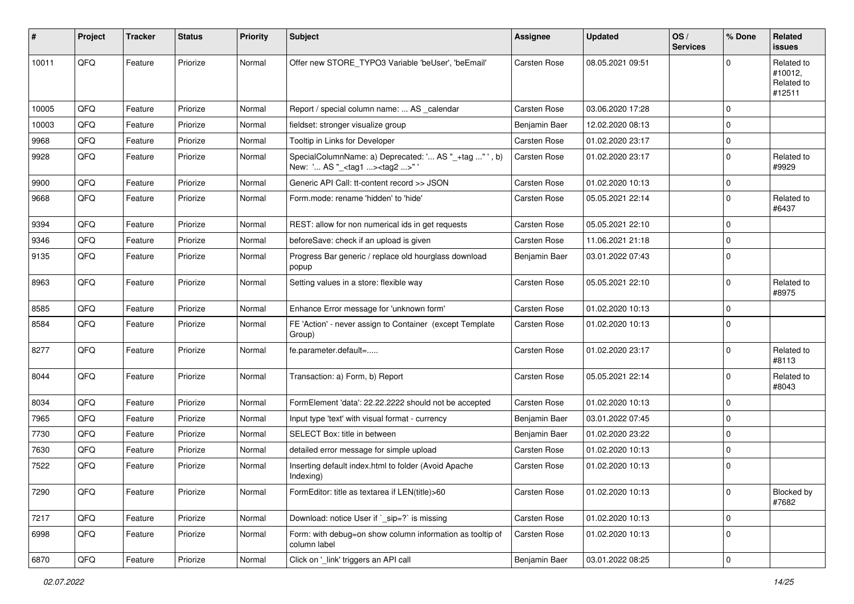| #     | <b>Project</b> | <b>Tracker</b> | <b>Status</b> | <b>Priority</b> | Subject                                                                                             | <b>Assignee</b> | <b>Updated</b>   | OS/<br><b>Services</b> | % Done      | Related<br>issues                             |
|-------|----------------|----------------|---------------|-----------------|-----------------------------------------------------------------------------------------------------|-----------------|------------------|------------------------|-------------|-----------------------------------------------|
| 10011 | QFQ            | Feature        | Priorize      | Normal          | Offer new STORE_TYPO3 Variable 'beUser', 'beEmail'                                                  | Carsten Rose    | 08.05.2021 09:51 |                        | $\Omega$    | Related to<br>#10012,<br>Related to<br>#12511 |
| 10005 | QFQ            | Feature        | Priorize      | Normal          | Report / special column name:  AS _calendar                                                         | Carsten Rose    | 03.06.2020 17:28 |                        | 0           |                                               |
| 10003 | QFQ            | Feature        | Priorize      | Normal          | fieldset: stronger visualize group                                                                  | Benjamin Baer   | 12.02.2020 08:13 |                        | $\mathbf 0$ |                                               |
| 9968  | QFQ            | Feature        | Priorize      | Normal          | Tooltip in Links for Developer                                                                      | Carsten Rose    | 01.02.2020 23:17 |                        | 0           |                                               |
| 9928  | QFQ            | Feature        | Priorize      | Normal          | SpecialColumnName: a) Deprecated: ' AS "_+tag " ', b)<br>New: ' AS "_ <tag1><tag2>" '</tag2></tag1> | Carsten Rose    | 01.02.2020 23:17 |                        | $\mathbf 0$ | Related to<br>#9929                           |
| 9900  | QFQ            | Feature        | Priorize      | Normal          | Generic API Call: tt-content record >> JSON                                                         | Carsten Rose    | 01.02.2020 10:13 |                        | $\mathbf 0$ |                                               |
| 9668  | QFQ            | Feature        | Priorize      | Normal          | Form.mode: rename 'hidden' to 'hide'                                                                | Carsten Rose    | 05.05.2021 22:14 |                        | 0           | Related to<br>#6437                           |
| 9394  | QFQ            | Feature        | Priorize      | Normal          | REST: allow for non numerical ids in get requests                                                   | Carsten Rose    | 05.05.2021 22:10 |                        | $\mathbf 0$ |                                               |
| 9346  | QFQ            | Feature        | Priorize      | Normal          | beforeSave: check if an upload is given                                                             | Carsten Rose    | 11.06.2021 21:18 |                        | $\mathbf 0$ |                                               |
| 9135  | QFQ            | Feature        | Priorize      | Normal          | Progress Bar generic / replace old hourglass download<br>popup                                      | Benjamin Baer   | 03.01.2022 07:43 |                        | $\mathbf 0$ |                                               |
| 8963  | QFQ            | Feature        | Priorize      | Normal          | Setting values in a store: flexible way                                                             | Carsten Rose    | 05.05.2021 22:10 |                        | $\mathbf 0$ | Related to<br>#8975                           |
| 8585  | QFQ            | Feature        | Priorize      | Normal          | Enhance Error message for 'unknown form'                                                            | Carsten Rose    | 01.02.2020 10:13 |                        | 0           |                                               |
| 8584  | QFQ            | Feature        | Priorize      | Normal          | FE 'Action' - never assign to Container (except Template<br>Group)                                  | Carsten Rose    | 01.02.2020 10:13 |                        | $\Omega$    |                                               |
| 8277  | QFQ            | Feature        | Priorize      | Normal          | fe.parameter.default=                                                                               | Carsten Rose    | 01.02.2020 23:17 |                        | $\mathbf 0$ | Related to<br>#8113                           |
| 8044  | QFQ            | Feature        | Priorize      | Normal          | Transaction: a) Form, b) Report                                                                     | Carsten Rose    | 05.05.2021 22:14 |                        | $\Omega$    | Related to<br>#8043                           |
| 8034  | QFQ            | Feature        | Priorize      | Normal          | FormElement 'data': 22.22.2222 should not be accepted                                               | Carsten Rose    | 01.02.2020 10:13 |                        | 0           |                                               |
| 7965  | QFQ            | Feature        | Priorize      | Normal          | Input type 'text' with visual format - currency                                                     | Benjamin Baer   | 03.01.2022 07:45 |                        | 0           |                                               |
| 7730  | QFQ            | Feature        | Priorize      | Normal          | SELECT Box: title in between                                                                        | Benjamin Baer   | 01.02.2020 23:22 |                        | $\mathbf 0$ |                                               |
| 7630  | QFQ            | Feature        | Priorize      | Normal          | detailed error message for simple upload                                                            | Carsten Rose    | 01.02.2020 10:13 |                        | 0           |                                               |
| 7522  | QFQ            | Feature        | Priorize      | Normal          | Inserting default index.html to folder (Avoid Apache<br>Indexing)                                   | Carsten Rose    | 01.02.2020 10:13 |                        | $\mathbf 0$ |                                               |
| 7290  | QFQ            | Feature        | Priorize      | Normal          | FormEditor: title as textarea if LEN(title)>60                                                      | Carsten Rose    | 01.02.2020 10:13 |                        | $\pmb{0}$   | Blocked by<br>#7682                           |
| 7217  | QFQ            | Feature        | Priorize      | Normal          | Download: notice User if `_sip=?` is missing                                                        | Carsten Rose    | 01.02.2020 10:13 |                        | $\pmb{0}$   |                                               |
| 6998  | QFQ            | Feature        | Priorize      | Normal          | Form: with debug=on show column information as tooltip of<br>column label                           | Carsten Rose    | 01.02.2020 10:13 |                        | $\mathbf 0$ |                                               |
| 6870  | QFQ            | Feature        | Priorize      | Normal          | Click on '_link' triggers an API call                                                               | Benjamin Baer   | 03.01.2022 08:25 |                        | $\pmb{0}$   |                                               |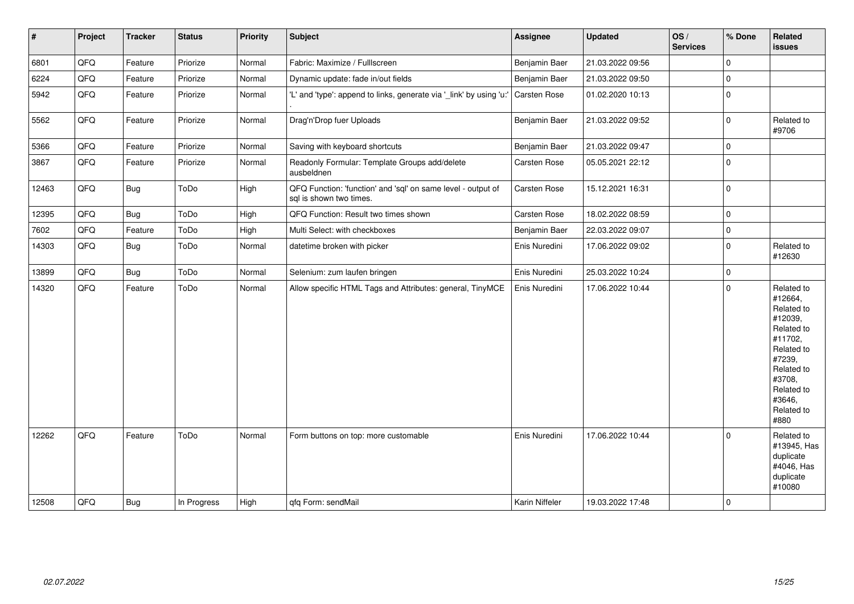| $\vert$ # | Project | <b>Tracker</b> | <b>Status</b> | <b>Priority</b> | Subject                                                                                 | <b>Assignee</b> | <b>Updated</b>   | OS/<br><b>Services</b> | % Done      | Related<br>issues                                                                                                                                                     |
|-----------|---------|----------------|---------------|-----------------|-----------------------------------------------------------------------------------------|-----------------|------------------|------------------------|-------------|-----------------------------------------------------------------------------------------------------------------------------------------------------------------------|
| 6801      | QFQ     | Feature        | Priorize      | Normal          | Fabric: Maximize / Fulllscreen                                                          | Benjamin Baer   | 21.03.2022 09:56 |                        | 0           |                                                                                                                                                                       |
| 6224      | QFQ     | Feature        | Priorize      | Normal          | Dynamic update: fade in/out fields                                                      | Benjamin Baer   | 21.03.2022 09:50 |                        | $\mathbf 0$ |                                                                                                                                                                       |
| 5942      | QFQ     | Feature        | Priorize      | Normal          | 'L' and 'type': append to links, generate via '_link' by using 'u:'                     | Carsten Rose    | 01.02.2020 10:13 |                        | $\mathbf 0$ |                                                                                                                                                                       |
| 5562      | QFQ     | Feature        | Priorize      | Normal          | Drag'n'Drop fuer Uploads                                                                | Benjamin Baer   | 21.03.2022 09:52 |                        | $\pmb{0}$   | Related to<br>#9706                                                                                                                                                   |
| 5366      | QFQ     | Feature        | Priorize      | Normal          | Saving with keyboard shortcuts                                                          | Benjamin Baer   | 21.03.2022 09:47 |                        | 0           |                                                                                                                                                                       |
| 3867      | QFQ     | Feature        | Priorize      | Normal          | Readonly Formular: Template Groups add/delete<br>ausbeldnen                             | Carsten Rose    | 05.05.2021 22:12 |                        | $\mathbf 0$ |                                                                                                                                                                       |
| 12463     | QFQ     | Bug            | ToDo          | High            | QFQ Function: 'function' and 'sql' on same level - output of<br>sal is shown two times. | Carsten Rose    | 15.12.2021 16:31 |                        | $\mathbf 0$ |                                                                                                                                                                       |
| 12395     | QFQ     | Bug            | ToDo          | High            | QFQ Function: Result two times shown                                                    | Carsten Rose    | 18.02.2022 08:59 |                        | 0           |                                                                                                                                                                       |
| 7602      | QFQ     | Feature        | ToDo          | High            | Multi Select: with checkboxes                                                           | Benjamin Baer   | 22.03.2022 09:07 |                        | 0           |                                                                                                                                                                       |
| 14303     | QFQ     | Bug            | ToDo          | Normal          | datetime broken with picker                                                             | Enis Nuredini   | 17.06.2022 09:02 |                        | $\mathbf 0$ | Related to<br>#12630                                                                                                                                                  |
| 13899     | QFQ     | Bug            | ToDo          | Normal          | Selenium: zum laufen bringen                                                            | Enis Nuredini   | 25.03.2022 10:24 |                        | 0           |                                                                                                                                                                       |
| 14320     | QFQ     | Feature        | ToDo          | Normal          | Allow specific HTML Tags and Attributes: general, TinyMCE                               | Enis Nuredini   | 17.06.2022 10:44 |                        | 0           | Related to<br>#12664,<br>Related to<br>#12039,<br>Related to<br>#11702,<br>Related to<br>#7239,<br>Related to<br>#3708,<br>Related to<br>#3646,<br>Related to<br>#880 |
| 12262     | QFQ     | Feature        | ToDo          | Normal          | Form buttons on top: more customable                                                    | Enis Nuredini   | 17.06.2022 10:44 |                        | $\Omega$    | Related to<br>#13945, Has<br>duplicate<br>#4046, Has<br>duplicate<br>#10080                                                                                           |
| 12508     | QFQ     | Bug            | In Progress   | High            | gfg Form: sendMail                                                                      | Karin Niffeler  | 19.03.2022 17:48 |                        | $\mathbf 0$ |                                                                                                                                                                       |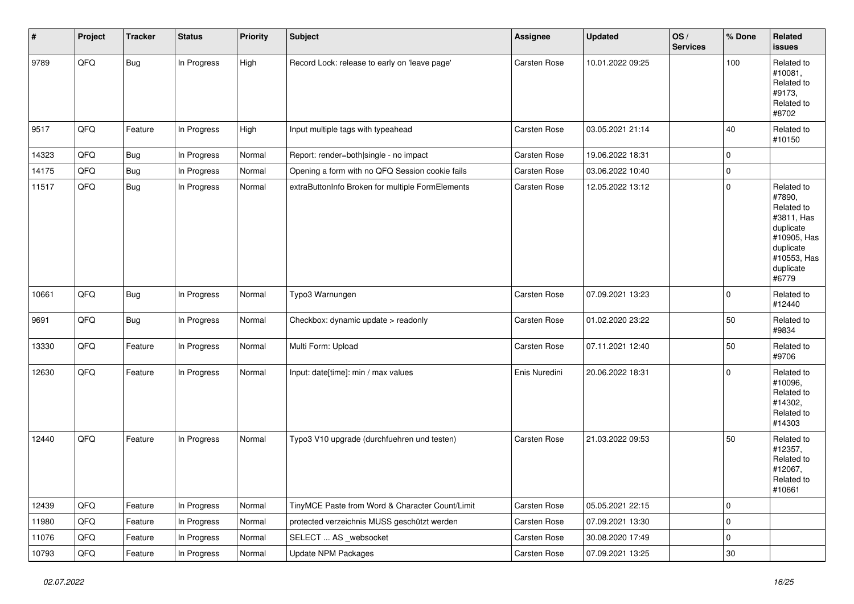| #     | Project | <b>Tracker</b> | <b>Status</b> | <b>Priority</b> | <b>Subject</b>                                   | <b>Assignee</b> | <b>Updated</b>   | OS/<br><b>Services</b> | % Done      | Related<br>issues                                                                                                              |
|-------|---------|----------------|---------------|-----------------|--------------------------------------------------|-----------------|------------------|------------------------|-------------|--------------------------------------------------------------------------------------------------------------------------------|
| 9789  | QFQ     | <b>Bug</b>     | In Progress   | High            | Record Lock: release to early on 'leave page'    | Carsten Rose    | 10.01.2022 09:25 |                        | 100         | Related to<br>#10081,<br>Related to<br>#9173,<br>Related to<br>#8702                                                           |
| 9517  | QFQ     | Feature        | In Progress   | High            | Input multiple tags with typeahead               | Carsten Rose    | 03.05.2021 21:14 |                        | 40          | Related to<br>#10150                                                                                                           |
| 14323 | QFQ     | Bug            | In Progress   | Normal          | Report: render=both single - no impact           | Carsten Rose    | 19.06.2022 18:31 |                        | $\mathbf 0$ |                                                                                                                                |
| 14175 | QFQ     | Bug            | In Progress   | Normal          | Opening a form with no QFQ Session cookie fails  | Carsten Rose    | 03.06.2022 10:40 |                        | 0           |                                                                                                                                |
| 11517 | QFQ     | <b>Bug</b>     | In Progress   | Normal          | extraButtonInfo Broken for multiple FormElements | Carsten Rose    | 12.05.2022 13:12 |                        | 0           | Related to<br>#7890,<br>Related to<br>#3811, Has<br>duplicate<br>#10905, Has<br>duplicate<br>#10553, Has<br>duplicate<br>#6779 |
| 10661 | QFQ     | Bug            | In Progress   | Normal          | Typo3 Warnungen                                  | Carsten Rose    | 07.09.2021 13:23 |                        | 0           | Related to<br>#12440                                                                                                           |
| 9691  | QFQ     | <b>Bug</b>     | In Progress   | Normal          | Checkbox: dynamic update > readonly              | Carsten Rose    | 01.02.2020 23:22 |                        | 50          | Related to<br>#9834                                                                                                            |
| 13330 | QFQ     | Feature        | In Progress   | Normal          | Multi Form: Upload                               | Carsten Rose    | 07.11.2021 12:40 |                        | 50          | Related to<br>#9706                                                                                                            |
| 12630 | QFQ     | Feature        | In Progress   | Normal          | Input: date[time]: min / max values              | Enis Nuredini   | 20.06.2022 18:31 |                        | 0           | Related to<br>#10096,<br>Related to<br>#14302,<br>Related to<br>#14303                                                         |
| 12440 | QFQ     | Feature        | In Progress   | Normal          | Typo3 V10 upgrade (durchfuehren und testen)      | Carsten Rose    | 21.03.2022 09:53 |                        | 50          | Related to<br>#12357,<br>Related to<br>#12067,<br>Related to<br>#10661                                                         |
| 12439 | QFQ     | Feature        | In Progress   | Normal          | TinyMCE Paste from Word & Character Count/Limit  | Carsten Rose    | 05.05.2021 22:15 |                        | 0           |                                                                                                                                |
| 11980 | QFQ     | Feature        | In Progress   | Normal          | protected verzeichnis MUSS geschützt werden      | Carsten Rose    | 07.09.2021 13:30 |                        | 0           |                                                                                                                                |
| 11076 | QFQ     | Feature        | In Progress   | Normal          | SELECT  AS_websocket                             | Carsten Rose    | 30.08.2020 17:49 |                        | 0           |                                                                                                                                |
| 10793 | QFQ     | Feature        | In Progress   | Normal          | <b>Update NPM Packages</b>                       | Carsten Rose    | 07.09.2021 13:25 |                        | $30\,$      |                                                                                                                                |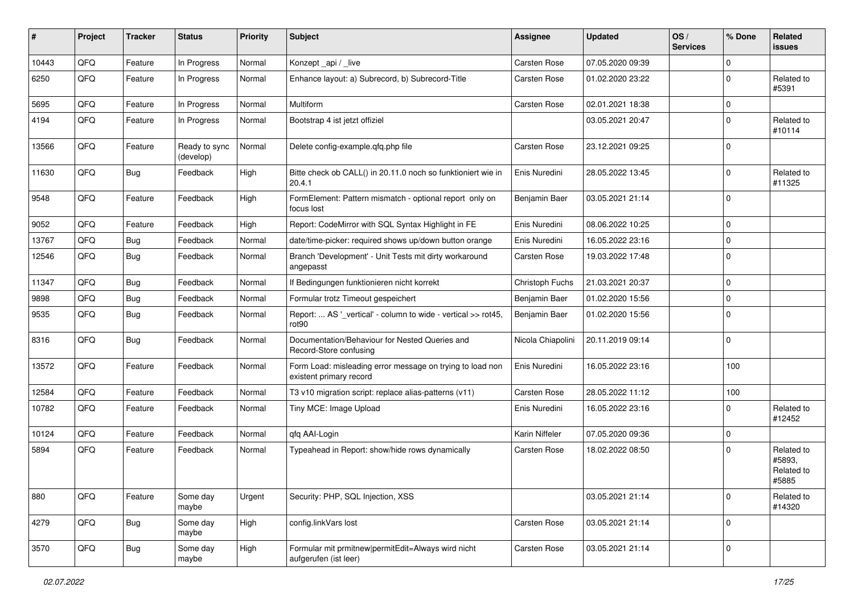| ∦     | Project | <b>Tracker</b> | <b>Status</b>              | <b>Priority</b> | Subject                                                                              | <b>Assignee</b>     | <b>Updated</b>   | OS/<br><b>Services</b> | % Done      | Related<br>issues                           |
|-------|---------|----------------|----------------------------|-----------------|--------------------------------------------------------------------------------------|---------------------|------------------|------------------------|-------------|---------------------------------------------|
| 10443 | QFQ     | Feature        | In Progress                | Normal          | Konzept_api / _live                                                                  | <b>Carsten Rose</b> | 07.05.2020 09:39 |                        | 0           |                                             |
| 6250  | QFQ     | Feature        | In Progress                | Normal          | Enhance layout: a) Subrecord, b) Subrecord-Title                                     | Carsten Rose        | 01.02.2020 23:22 |                        | $\mathbf 0$ | Related to<br>#5391                         |
| 5695  | QFQ     | Feature        | In Progress                | Normal          | Multiform                                                                            | Carsten Rose        | 02.01.2021 18:38 |                        | 0           |                                             |
| 4194  | QFQ     | Feature        | In Progress                | Normal          | Bootstrap 4 ist jetzt offiziel                                                       |                     | 03.05.2021 20:47 |                        | $\mathbf 0$ | Related to<br>#10114                        |
| 13566 | QFQ     | Feature        | Ready to sync<br>(develop) | Normal          | Delete config-example.qfq.php file                                                   | Carsten Rose        | 23.12.2021 09:25 |                        | 0           |                                             |
| 11630 | QFQ     | Bug            | Feedback                   | High            | Bitte check ob CALL() in 20.11.0 noch so funktioniert wie in<br>20.4.1               | Enis Nuredini       | 28.05.2022 13:45 |                        | 0           | Related to<br>#11325                        |
| 9548  | QFQ     | Feature        | Feedback                   | High            | FormElement: Pattern mismatch - optional report only on<br>focus lost                | Benjamin Baer       | 03.05.2021 21:14 |                        | 0           |                                             |
| 9052  | QFQ     | Feature        | Feedback                   | High            | Report: CodeMirror with SQL Syntax Highlight in FE                                   | Enis Nuredini       | 08.06.2022 10:25 |                        | 0           |                                             |
| 13767 | QFQ     | Bug            | Feedback                   | Normal          | date/time-picker: required shows up/down button orange                               | Enis Nuredini       | 16.05.2022 23:16 |                        | $\Omega$    |                                             |
| 12546 | QFQ     | <b>Bug</b>     | Feedback                   | Normal          | Branch 'Development' - Unit Tests mit dirty workaround<br>angepasst                  | Carsten Rose        | 19.03.2022 17:48 |                        | $\Omega$    |                                             |
| 11347 | QFQ     | Bug            | Feedback                   | Normal          | If Bedingungen funktionieren nicht korrekt                                           | Christoph Fuchs     | 21.03.2021 20:37 |                        | 0           |                                             |
| 9898  | QFQ     | Bug            | Feedback                   | Normal          | Formular trotz Timeout gespeichert                                                   | Benjamin Baer       | 01.02.2020 15:56 |                        | 0           |                                             |
| 9535  | QFQ     | Bug            | Feedback                   | Normal          | Report:  AS '_vertical' - column to wide - vertical >> rot45,<br>rot90               | Benjamin Baer       | 01.02.2020 15:56 |                        | $\Omega$    |                                             |
| 8316  | QFQ     | Bug            | Feedback                   | Normal          | Documentation/Behaviour for Nested Queries and<br>Record-Store confusing             | Nicola Chiapolini   | 20.11.2019 09:14 |                        | $\Omega$    |                                             |
| 13572 | QFQ     | Feature        | Feedback                   | Normal          | Form Load: misleading error message on trying to load non<br>existent primary record | Enis Nuredini       | 16.05.2022 23:16 |                        | 100         |                                             |
| 12584 | QFQ     | Feature        | Feedback                   | Normal          | T3 v10 migration script: replace alias-patterns (v11)                                | Carsten Rose        | 28.05.2022 11:12 |                        | 100         |                                             |
| 10782 | QFQ     | Feature        | Feedback                   | Normal          | Tiny MCE: Image Upload                                                               | Enis Nuredini       | 16.05.2022 23:16 |                        | $\mathbf 0$ | Related to<br>#12452                        |
| 10124 | QFQ     | Feature        | Feedback                   | Normal          | qfq AAI-Login                                                                        | Karin Niffeler      | 07.05.2020 09:36 |                        | 0           |                                             |
| 5894  | QFQ     | Feature        | Feedback                   | Normal          | Typeahead in Report: show/hide rows dynamically                                      | Carsten Rose        | 18.02.2022 08:50 |                        | $\Omega$    | Related to<br>#5893,<br>Related to<br>#5885 |
| 880   | QFQ     | Feature        | Some day<br>maybe          | Urgent          | Security: PHP, SQL Injection, XSS                                                    |                     | 03.05.2021 21:14 |                        | $\mathbf 0$ | Related to<br>#14320                        |
| 4279  | QFQ     | <b>Bug</b>     | Some day<br>maybe          | High            | config.linkVars lost                                                                 | Carsten Rose        | 03.05.2021 21:14 |                        | 0           |                                             |
| 3570  | QFO     | Bug            | Some day<br>maybe          | High            | Formular mit prmitnew permitEdit=Always wird nicht<br>aufgerufen (ist leer)          | Carsten Rose        | 03.05.2021 21:14 |                        | $\pmb{0}$   |                                             |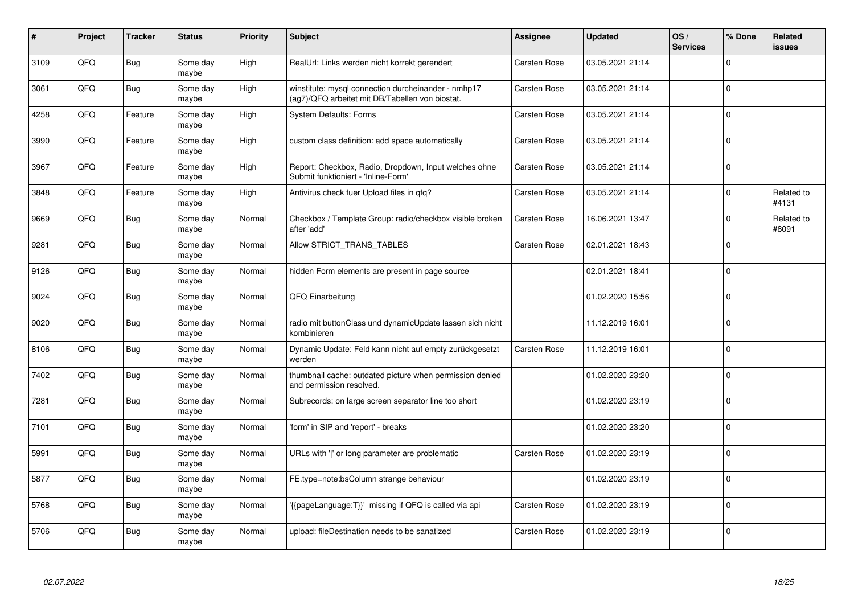| ∦    | Project | <b>Tracker</b> | <b>Status</b>     | <b>Priority</b> | <b>Subject</b>                                                                                         | <b>Assignee</b> | <b>Updated</b>   | OS/<br><b>Services</b> | % Done      | Related<br><b>issues</b> |
|------|---------|----------------|-------------------|-----------------|--------------------------------------------------------------------------------------------------------|-----------------|------------------|------------------------|-------------|--------------------------|
| 3109 | QFQ     | Bug            | Some day<br>maybe | High            | RealUrl: Links werden nicht korrekt gerendert                                                          | Carsten Rose    | 03.05.2021 21:14 |                        | $\mathbf 0$ |                          |
| 3061 | QFQ     | Bug            | Some day<br>maybe | High            | winstitute: mysql connection durcheinander - nmhp17<br>(ag7)/QFQ arbeitet mit DB/Tabellen von biostat. | Carsten Rose    | 03.05.2021 21:14 |                        | $\mathbf 0$ |                          |
| 4258 | QFQ     | Feature        | Some day<br>maybe | High            | <b>System Defaults: Forms</b>                                                                          | Carsten Rose    | 03.05.2021 21:14 |                        | $\pmb{0}$   |                          |
| 3990 | QFQ     | Feature        | Some day<br>maybe | High            | custom class definition: add space automatically                                                       | Carsten Rose    | 03.05.2021 21:14 |                        | $\Omega$    |                          |
| 3967 | QFQ     | Feature        | Some day<br>maybe | High            | Report: Checkbox, Radio, Dropdown, Input welches ohne<br>Submit funktioniert - 'Inline-Form'           | Carsten Rose    | 03.05.2021 21:14 |                        | $\mathbf 0$ |                          |
| 3848 | QFQ     | Feature        | Some day<br>maybe | High            | Antivirus check fuer Upload files in qfq?                                                              | Carsten Rose    | 03.05.2021 21:14 |                        | $\mathbf 0$ | Related to<br>#4131      |
| 9669 | QFQ     | <b>Bug</b>     | Some day<br>maybe | Normal          | Checkbox / Template Group: radio/checkbox visible broken<br>after 'add'                                | Carsten Rose    | 16.06.2021 13:47 |                        | $\pmb{0}$   | Related to<br>#8091      |
| 9281 | QFQ     | <b>Bug</b>     | Some day<br>maybe | Normal          | Allow STRICT_TRANS_TABLES                                                                              | Carsten Rose    | 02.01.2021 18:43 |                        | $\mathbf 0$ |                          |
| 9126 | QFQ     | Bug            | Some day<br>maybe | Normal          | hidden Form elements are present in page source                                                        |                 | 02.01.2021 18:41 |                        | $\mathbf 0$ |                          |
| 9024 | QFQ     | Bug            | Some day<br>maybe | Normal          | QFQ Einarbeitung                                                                                       |                 | 01.02.2020 15:56 |                        | $\pmb{0}$   |                          |
| 9020 | QFQ     | <b>Bug</b>     | Some day<br>maybe | Normal          | radio mit buttonClass und dynamicUpdate lassen sich nicht<br>kombinieren                               |                 | 11.12.2019 16:01 |                        | $\mathbf 0$ |                          |
| 8106 | QFQ     | Bug            | Some day<br>maybe | Normal          | Dynamic Update: Feld kann nicht auf empty zurückgesetzt<br>werden                                      | Carsten Rose    | 11.12.2019 16:01 |                        | $\mathbf 0$ |                          |
| 7402 | QFQ     | Bug            | Some day<br>maybe | Normal          | thumbnail cache: outdated picture when permission denied<br>and permission resolved.                   |                 | 01.02.2020 23:20 |                        | $\mathbf 0$ |                          |
| 7281 | QFQ     | <b>Bug</b>     | Some day<br>maybe | Normal          | Subrecords: on large screen separator line too short                                                   |                 | 01.02.2020 23:19 |                        | $\mathbf 0$ |                          |
| 7101 | QFQ     | <b>Bug</b>     | Some day<br>maybe | Normal          | form' in SIP and 'report' - breaks                                                                     |                 | 01.02.2020 23:20 |                        | $\Omega$    |                          |
| 5991 | QFQ     | Bug            | Some day<br>maybe | Normal          | URLs with 'I' or long parameter are problematic                                                        | Carsten Rose    | 01.02.2020 23:19 |                        | $\mathbf 0$ |                          |
| 5877 | QFQ     | <b>Bug</b>     | Some day<br>maybe | Normal          | FE.type=note:bsColumn strange behaviour                                                                |                 | 01.02.2020 23:19 |                        | $\mathbf 0$ |                          |
| 5768 | QFQ     | Bug            | Some day<br>maybe | Normal          | '{{pageLanguage:T}}' missing if QFQ is called via api                                                  | Carsten Rose    | 01.02.2020 23:19 |                        | $\pmb{0}$   |                          |
| 5706 | QFQ     | Bug            | Some day<br>maybe | Normal          | upload: fileDestination needs to be sanatized                                                          | Carsten Rose    | 01.02.2020 23:19 |                        | $\mathbf 0$ |                          |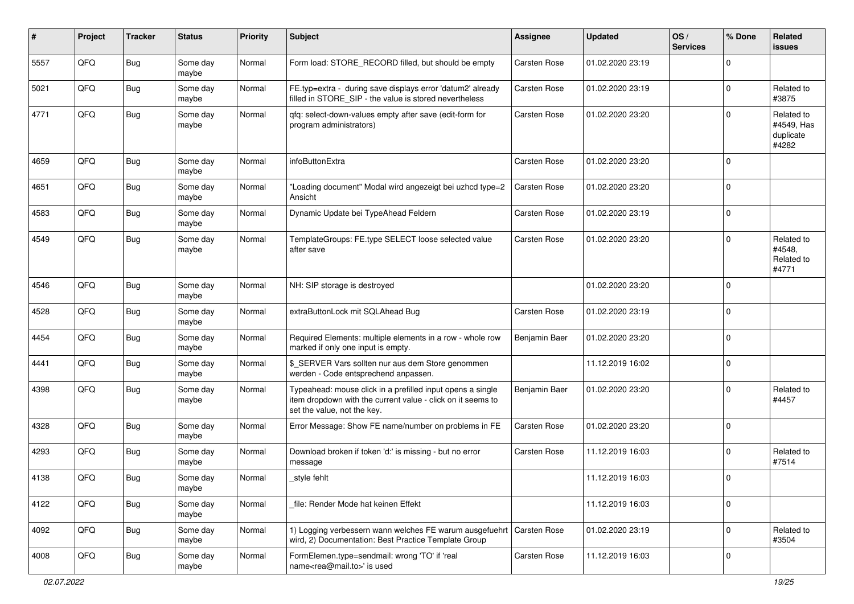| #    | Project | <b>Tracker</b> | <b>Status</b>     | <b>Priority</b> | Subject                                                                                                                                                  | <b>Assignee</b> | <b>Updated</b>   | OS/<br><b>Services</b> | % Done      | Related<br>issues                              |
|------|---------|----------------|-------------------|-----------------|----------------------------------------------------------------------------------------------------------------------------------------------------------|-----------------|------------------|------------------------|-------------|------------------------------------------------|
| 5557 | QFQ     | Bug            | Some day<br>maybe | Normal          | Form load: STORE_RECORD filled, but should be empty                                                                                                      | Carsten Rose    | 01.02.2020 23:19 |                        | $\Omega$    |                                                |
| 5021 | QFQ     | Bug            | Some day<br>maybe | Normal          | FE.typ=extra - during save displays error 'datum2' already<br>filled in STORE_SIP - the value is stored nevertheless                                     | Carsten Rose    | 01.02.2020 23:19 |                        | $\Omega$    | Related to<br>#3875                            |
| 4771 | QFQ     | Bug            | Some day<br>maybe | Normal          | qfq: select-down-values empty after save (edit-form for<br>program administrators)                                                                       | Carsten Rose    | 01.02.2020 23:20 |                        | $\Omega$    | Related to<br>#4549, Has<br>duplicate<br>#4282 |
| 4659 | QFQ     | Bug            | Some day<br>maybe | Normal          | infoButtonExtra                                                                                                                                          | Carsten Rose    | 01.02.2020 23:20 |                        | $\Omega$    |                                                |
| 4651 | QFQ     | Bug            | Some day<br>maybe | Normal          | "Loading document" Modal wird angezeigt bei uzhcd type=2<br>Ansicht                                                                                      | Carsten Rose    | 01.02.2020 23:20 |                        | $\Omega$    |                                                |
| 4583 | QFQ     | <b>Bug</b>     | Some day<br>maybe | Normal          | Dynamic Update bei TypeAhead Feldern                                                                                                                     | Carsten Rose    | 01.02.2020 23:19 |                        | $\Omega$    |                                                |
| 4549 | QFQ     | <b>Bug</b>     | Some day<br>maybe | Normal          | TemplateGroups: FE.type SELECT loose selected value<br>after save                                                                                        | Carsten Rose    | 01.02.2020 23:20 |                        | $\Omega$    | Related to<br>#4548,<br>Related to<br>#4771    |
| 4546 | QFQ     | Bug            | Some day<br>maybe | Normal          | NH: SIP storage is destroyed                                                                                                                             |                 | 01.02.2020 23:20 |                        | $\Omega$    |                                                |
| 4528 | QFQ     | Bug            | Some day<br>maybe | Normal          | extraButtonLock mit SQLAhead Bug                                                                                                                         | Carsten Rose    | 01.02.2020 23:19 |                        | $\Omega$    |                                                |
| 4454 | QFQ     | Bug            | Some day<br>maybe | Normal          | Required Elements: multiple elements in a row - whole row<br>marked if only one input is empty.                                                          | Benjamin Baer   | 01.02.2020 23:20 |                        | $\Omega$    |                                                |
| 4441 | QFQ     | Bug            | Some day<br>maybe | Normal          | \$_SERVER Vars sollten nur aus dem Store genommen<br>werden - Code entsprechend anpassen.                                                                |                 | 11.12.2019 16:02 |                        | $\Omega$    |                                                |
| 4398 | QFQ     | <b>Bug</b>     | Some day<br>maybe | Normal          | Typeahead: mouse click in a prefilled input opens a single<br>item dropdown with the current value - click on it seems to<br>set the value, not the key. | Benjamin Baer   | 01.02.2020 23:20 |                        | $\Omega$    | Related to<br>#4457                            |
| 4328 | QFQ     | <b>Bug</b>     | Some day<br>maybe | Normal          | Error Message: Show FE name/number on problems in FE                                                                                                     | Carsten Rose    | 01.02.2020 23:20 |                        | $\Omega$    |                                                |
| 4293 | QFQ     | Bug            | Some day<br>maybe | Normal          | Download broken if token 'd:' is missing - but no error<br>message                                                                                       | Carsten Rose    | 11.12.2019 16:03 |                        | $\Omega$    | Related to<br>#7514                            |
| 4138 | QFQ     | Bug            | Some day<br>maybe | Normal          | style fehlt                                                                                                                                              |                 | 11.12.2019 16:03 |                        | $\mathbf 0$ |                                                |
| 4122 | QFQ     | Bug            | Some day<br>maybe | Normal          | file: Render Mode hat keinen Effekt                                                                                                                      |                 | 11.12.2019 16:03 |                        | $\Omega$    |                                                |
| 4092 | QFQ     | Bug            | Some day<br>maybe | Normal          | 1) Logging verbessern wann welches FE warum ausgefuehrt<br>wird, 2) Documentation: Best Practice Template Group                                          | Carsten Rose    | 01.02.2020 23:19 |                        | $\mathbf 0$ | Related to<br>#3504                            |
| 4008 | QFO     | <b>Bug</b>     | Some day<br>maybe | Normal          | FormElemen.type=sendmail: wrong 'TO' if 'real<br>name <rea@mail.to>' is used</rea@mail.to>                                                               | Carsten Rose    | 11.12.2019 16:03 |                        | $\mathbf 0$ |                                                |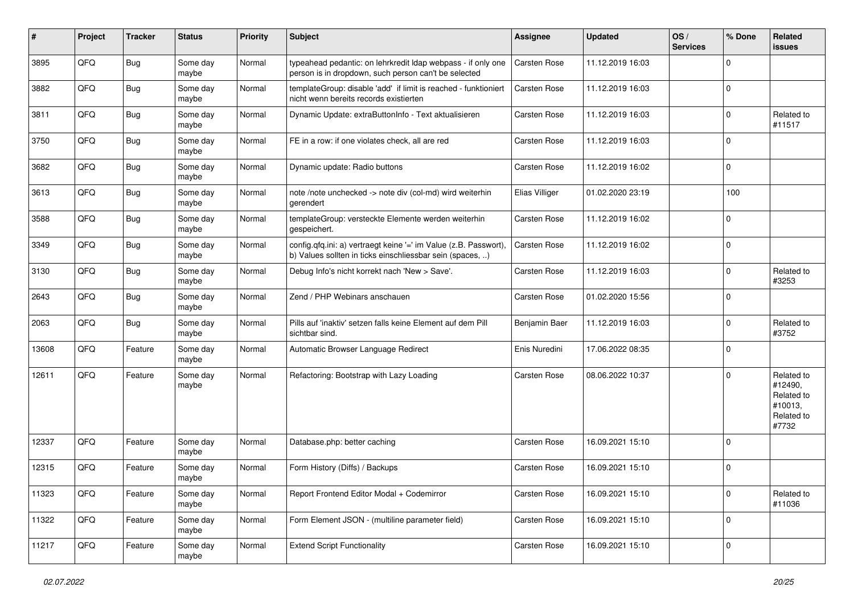| ∦     | Project | <b>Tracker</b> | <b>Status</b>     | <b>Priority</b> | <b>Subject</b>                                                                                                                | <b>Assignee</b>     | <b>Updated</b>   | OS/<br><b>Services</b> | % Done      | Related<br>issues                                                     |
|-------|---------|----------------|-------------------|-----------------|-------------------------------------------------------------------------------------------------------------------------------|---------------------|------------------|------------------------|-------------|-----------------------------------------------------------------------|
| 3895  | QFQ     | Bug            | Some day<br>maybe | Normal          | typeahead pedantic: on lehrkredit Idap webpass - if only one<br>person is in dropdown, such person can't be selected          | Carsten Rose        | 11.12.2019 16:03 |                        | 0           |                                                                       |
| 3882  | QFQ     | Bug            | Some day<br>maybe | Normal          | templateGroup: disable 'add' if limit is reached - funktioniert<br>nicht wenn bereits records existierten                     | Carsten Rose        | 11.12.2019 16:03 |                        | $\Omega$    |                                                                       |
| 3811  | QFQ     | Bug            | Some day<br>maybe | Normal          | Dynamic Update: extraButtonInfo - Text aktualisieren                                                                          | Carsten Rose        | 11.12.2019 16:03 |                        | $\mathbf 0$ | Related to<br>#11517                                                  |
| 3750  | QFQ     | Bug            | Some day<br>maybe | Normal          | FE in a row: if one violates check, all are red                                                                               | Carsten Rose        | 11.12.2019 16:03 |                        | 0           |                                                                       |
| 3682  | QFQ     | <b>Bug</b>     | Some day<br>maybe | Normal          | Dynamic update: Radio buttons                                                                                                 | Carsten Rose        | 11.12.2019 16:02 |                        | $\Omega$    |                                                                       |
| 3613  | QFQ     | Bug            | Some day<br>maybe | Normal          | note /note unchecked -> note div (col-md) wird weiterhin<br>gerendert                                                         | Elias Villiger      | 01.02.2020 23:19 |                        | 100         |                                                                       |
| 3588  | QFQ     | Bug            | Some day<br>maybe | Normal          | templateGroup: versteckte Elemente werden weiterhin<br>gespeichert.                                                           | Carsten Rose        | 11.12.2019 16:02 |                        | $\Omega$    |                                                                       |
| 3349  | QFQ     | Bug            | Some day<br>maybe | Normal          | config.qfq.ini: a) vertraegt keine '=' im Value (z.B. Passwort),<br>b) Values sollten in ticks einschliessbar sein (spaces, ) | Carsten Rose        | 11.12.2019 16:02 |                        | 0           |                                                                       |
| 3130  | QFQ     | <b>Bug</b>     | Some day<br>maybe | Normal          | Debug Info's nicht korrekt nach 'New > Save'.                                                                                 | Carsten Rose        | 11.12.2019 16:03 |                        | $\mathbf 0$ | Related to<br>#3253                                                   |
| 2643  | QFQ     | Bug            | Some day<br>maybe | Normal          | Zend / PHP Webinars anschauen                                                                                                 | Carsten Rose        | 01.02.2020 15:56 |                        | $\Omega$    |                                                                       |
| 2063  | QFQ     | <b>Bug</b>     | Some day<br>maybe | Normal          | Pills auf 'inaktiv' setzen falls keine Element auf dem Pill<br>sichtbar sind.                                                 | Benjamin Baer       | 11.12.2019 16:03 |                        | 0           | Related to<br>#3752                                                   |
| 13608 | QFQ     | Feature        | Some day<br>maybe | Normal          | Automatic Browser Language Redirect                                                                                           | Enis Nuredini       | 17.06.2022 08:35 |                        | $\Omega$    |                                                                       |
| 12611 | QFQ     | Feature        | Some day<br>maybe | Normal          | Refactoring: Bootstrap with Lazy Loading                                                                                      | Carsten Rose        | 08.06.2022 10:37 |                        | 0           | Related to<br>#12490,<br>Related to<br>#10013,<br>Related to<br>#7732 |
| 12337 | QFQ     | Feature        | Some day<br>maybe | Normal          | Database.php: better caching                                                                                                  | <b>Carsten Rose</b> | 16.09.2021 15:10 |                        | $\Omega$    |                                                                       |
| 12315 | QFQ     | Feature        | Some day<br>maybe | Normal          | Form History (Diffs) / Backups                                                                                                | Carsten Rose        | 16.09.2021 15:10 |                        | $\Omega$    |                                                                       |
| 11323 | QFO     | Feature        | Some day<br>maybe | Normal          | Report Frontend Editor Modal + Codemirror                                                                                     | Carsten Rose        | 16.09.2021 15:10 |                        | $\mathbf 0$ | Related to<br>#11036                                                  |
| 11322 | QFQ     | Feature        | Some day<br>maybe | Normal          | Form Element JSON - (multiline parameter field)                                                                               | Carsten Rose        | 16.09.2021 15:10 |                        | $\pmb{0}$   |                                                                       |
| 11217 | QFQ     | Feature        | Some day<br>maybe | Normal          | <b>Extend Script Functionality</b>                                                                                            | Carsten Rose        | 16.09.2021 15:10 |                        | 0           |                                                                       |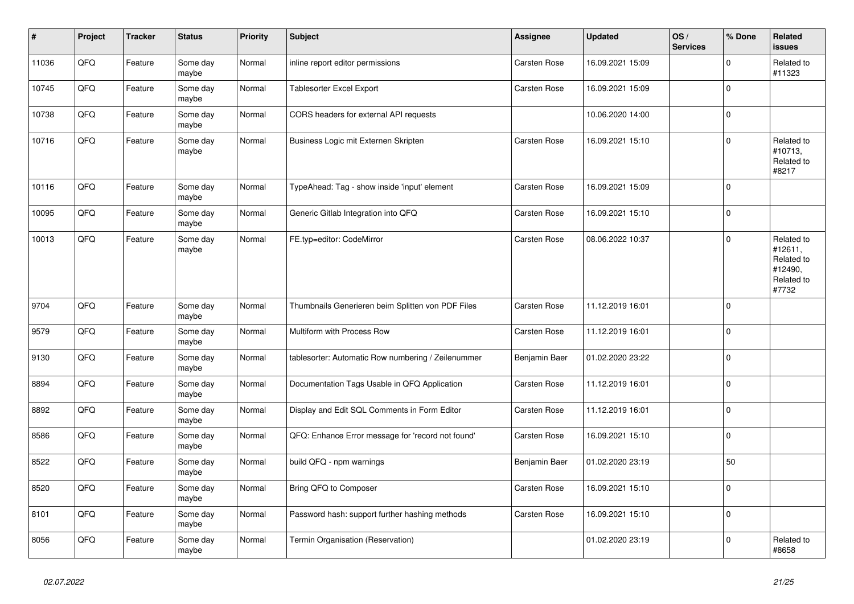| $\pmb{\#}$ | Project | <b>Tracker</b> | <b>Status</b>     | <b>Priority</b> | <b>Subject</b>                                     | <b>Assignee</b> | <b>Updated</b>   | OS/<br><b>Services</b> | % Done      | Related<br>issues                                                     |
|------------|---------|----------------|-------------------|-----------------|----------------------------------------------------|-----------------|------------------|------------------------|-------------|-----------------------------------------------------------------------|
| 11036      | QFQ     | Feature        | Some day<br>maybe | Normal          | inline report editor permissions                   | Carsten Rose    | 16.09.2021 15:09 |                        | $\mathbf 0$ | Related to<br>#11323                                                  |
| 10745      | QFQ     | Feature        | Some day<br>maybe | Normal          | <b>Tablesorter Excel Export</b>                    | Carsten Rose    | 16.09.2021 15:09 |                        | $\pmb{0}$   |                                                                       |
| 10738      | QFQ     | Feature        | Some day<br>maybe | Normal          | CORS headers for external API requests             |                 | 10.06.2020 14:00 |                        | $\mathbf 0$ |                                                                       |
| 10716      | QFQ     | Feature        | Some day<br>maybe | Normal          | Business Logic mit Externen Skripten               | Carsten Rose    | 16.09.2021 15:10 |                        | $\mathbf 0$ | Related to<br>#10713,<br>Related to<br>#8217                          |
| 10116      | QFQ     | Feature        | Some day<br>maybe | Normal          | TypeAhead: Tag - show inside 'input' element       | Carsten Rose    | 16.09.2021 15:09 |                        | $\pmb{0}$   |                                                                       |
| 10095      | QFQ     | Feature        | Some day<br>maybe | Normal          | Generic Gitlab Integration into QFQ                | Carsten Rose    | 16.09.2021 15:10 |                        | $\mathbf 0$ |                                                                       |
| 10013      | QFQ     | Feature        | Some day<br>maybe | Normal          | FE.typ=editor: CodeMirror                          | Carsten Rose    | 08.06.2022 10:37 |                        | $\mathbf 0$ | Related to<br>#12611,<br>Related to<br>#12490,<br>Related to<br>#7732 |
| 9704       | QFQ     | Feature        | Some day<br>maybe | Normal          | Thumbnails Generieren beim Splitten von PDF Files  | Carsten Rose    | 11.12.2019 16:01 |                        | $\mathbf 0$ |                                                                       |
| 9579       | QFQ     | Feature        | Some day<br>maybe | Normal          | Multiform with Process Row                         | Carsten Rose    | 11.12.2019 16:01 |                        | $\mathbf 0$ |                                                                       |
| 9130       | QFQ     | Feature        | Some day<br>maybe | Normal          | tablesorter: Automatic Row numbering / Zeilenummer | Benjamin Baer   | 01.02.2020 23:22 |                        | $\pmb{0}$   |                                                                       |
| 8894       | QFQ     | Feature        | Some day<br>maybe | Normal          | Documentation Tags Usable in QFQ Application       | Carsten Rose    | 11.12.2019 16:01 |                        | $\mathbf 0$ |                                                                       |
| 8892       | QFQ     | Feature        | Some day<br>maybe | Normal          | Display and Edit SQL Comments in Form Editor       | Carsten Rose    | 11.12.2019 16:01 |                        | $\mathbf 0$ |                                                                       |
| 8586       | QFQ     | Feature        | Some day<br>maybe | Normal          | QFQ: Enhance Error message for 'record not found'  | Carsten Rose    | 16.09.2021 15:10 |                        | $\mathbf 0$ |                                                                       |
| 8522       | QFQ     | Feature        | Some day<br>maybe | Normal          | build QFQ - npm warnings                           | Benjamin Baer   | 01.02.2020 23:19 |                        | 50          |                                                                       |
| 8520       | QFQ     | Feature        | Some day<br>maybe | Normal          | Bring QFQ to Composer                              | Carsten Rose    | 16.09.2021 15:10 |                        | $\mathbf 0$ |                                                                       |
| 8101       | QFQ     | Feature        | Some day<br>maybe | Normal          | Password hash: support further hashing methods     | Carsten Rose    | 16.09.2021 15:10 |                        | $\mathbf 0$ |                                                                       |
| 8056       | QFQ     | Feature        | Some day<br>maybe | Normal          | Termin Organisation (Reservation)                  |                 | 01.02.2020 23:19 |                        | $\mathbf 0$ | Related to<br>#8658                                                   |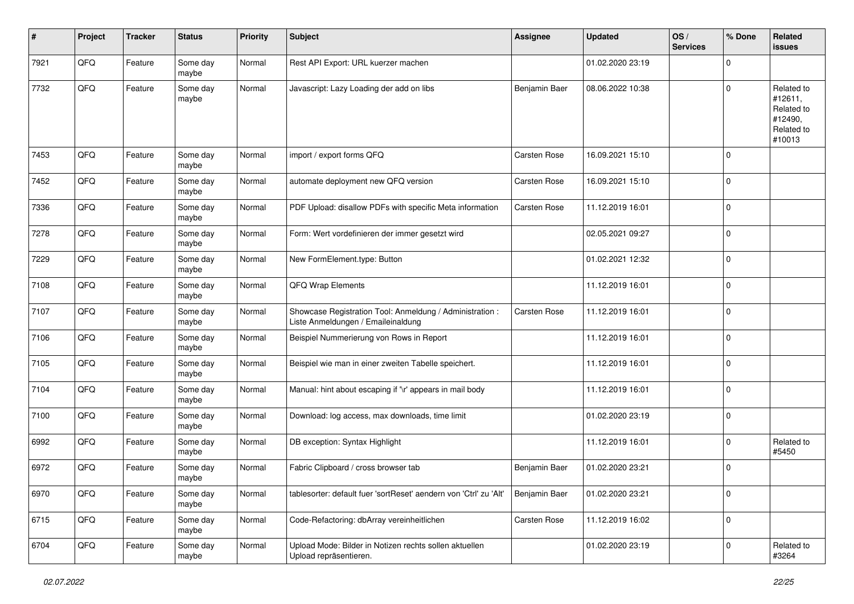| ∦    | Project | <b>Tracker</b> | <b>Status</b>     | <b>Priority</b> | Subject                                                                                        | <b>Assignee</b> | <b>Updated</b>   | OS/<br><b>Services</b> | % Done      | Related<br>issues                                                      |
|------|---------|----------------|-------------------|-----------------|------------------------------------------------------------------------------------------------|-----------------|------------------|------------------------|-------------|------------------------------------------------------------------------|
| 7921 | QFQ     | Feature        | Some day<br>maybe | Normal          | Rest API Export: URL kuerzer machen                                                            |                 | 01.02.2020 23:19 |                        | 0           |                                                                        |
| 7732 | QFQ     | Feature        | Some day<br>maybe | Normal          | Javascript: Lazy Loading der add on libs                                                       | Benjamin Baer   | 08.06.2022 10:38 |                        | $\Omega$    | Related to<br>#12611,<br>Related to<br>#12490,<br>Related to<br>#10013 |
| 7453 | QFQ     | Feature        | Some day<br>maybe | Normal          | import / export forms QFQ                                                                      | Carsten Rose    | 16.09.2021 15:10 |                        | $\mathbf 0$ |                                                                        |
| 7452 | QFQ     | Feature        | Some day<br>maybe | Normal          | automate deployment new QFQ version                                                            | Carsten Rose    | 16.09.2021 15:10 |                        | 0           |                                                                        |
| 7336 | QFQ     | Feature        | Some day<br>maybe | Normal          | PDF Upload: disallow PDFs with specific Meta information                                       | Carsten Rose    | 11.12.2019 16:01 |                        | $\pmb{0}$   |                                                                        |
| 7278 | QFQ     | Feature        | Some day<br>maybe | Normal          | Form: Wert vordefinieren der immer gesetzt wird                                                |                 | 02.05.2021 09:27 |                        | $\mathbf 0$ |                                                                        |
| 7229 | QFQ     | Feature        | Some day<br>maybe | Normal          | New FormElement.type: Button                                                                   |                 | 01.02.2021 12:32 |                        | $\mathbf 0$ |                                                                        |
| 7108 | QFQ     | Feature        | Some day<br>maybe | Normal          | QFQ Wrap Elements                                                                              |                 | 11.12.2019 16:01 |                        | 0           |                                                                        |
| 7107 | QFQ     | Feature        | Some day<br>maybe | Normal          | Showcase Registration Tool: Anmeldung / Administration :<br>Liste Anmeldungen / Emaileinaldung | Carsten Rose    | 11.12.2019 16:01 |                        | 0           |                                                                        |
| 7106 | QFQ     | Feature        | Some day<br>maybe | Normal          | Beispiel Nummerierung von Rows in Report                                                       |                 | 11.12.2019 16:01 |                        | $\mathbf 0$ |                                                                        |
| 7105 | QFQ     | Feature        | Some day<br>maybe | Normal          | Beispiel wie man in einer zweiten Tabelle speichert.                                           |                 | 11.12.2019 16:01 |                        | $\mathbf 0$ |                                                                        |
| 7104 | QFQ     | Feature        | Some day<br>maybe | Normal          | Manual: hint about escaping if '\r' appears in mail body                                       |                 | 11.12.2019 16:01 |                        | $\pmb{0}$   |                                                                        |
| 7100 | QFQ     | Feature        | Some day<br>maybe | Normal          | Download: log access, max downloads, time limit                                                |                 | 01.02.2020 23:19 |                        | $\mathbf 0$ |                                                                        |
| 6992 | QFQ     | Feature        | Some day<br>maybe | Normal          | DB exception: Syntax Highlight                                                                 |                 | 11.12.2019 16:01 |                        | $\mathbf 0$ | Related to<br>#5450                                                    |
| 6972 | QFQ     | Feature        | Some day<br>maybe | Normal          | Fabric Clipboard / cross browser tab                                                           | Benjamin Baer   | 01.02.2020 23:21 |                        | $\mathbf 0$ |                                                                        |
| 6970 | QFO     | Feature        | Some day<br>maybe | Normal          | tablesorter: default fuer 'sortReset' aendern von 'Ctrl' zu 'Alt'                              | Benjamin Baer   | 01.02.2020 23:21 |                        | $\pmb{0}$   |                                                                        |
| 6715 | QFO     | Feature        | Some day<br>maybe | Normal          | Code-Refactoring: dbArray vereinheitlichen                                                     | Carsten Rose    | 11.12.2019 16:02 |                        | $\pmb{0}$   |                                                                        |
| 6704 | QFG     | Feature        | Some day<br>maybe | Normal          | Upload Mode: Bilder in Notizen rechts sollen aktuellen<br>Upload repräsentieren.               |                 | 01.02.2020 23:19 |                        | $\pmb{0}$   | Related to<br>#3264                                                    |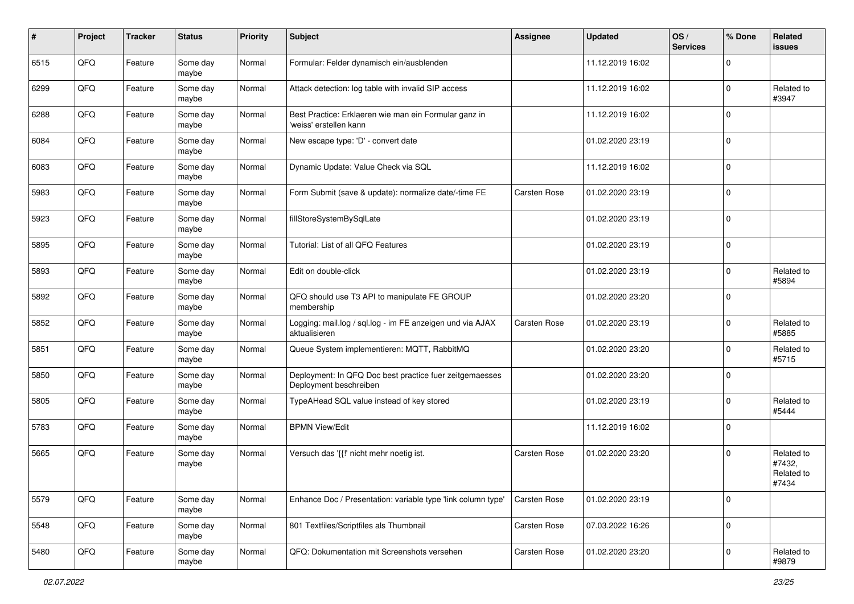| #    | Project | <b>Tracker</b> | <b>Status</b>     | <b>Priority</b> | Subject                                                                           | <b>Assignee</b> | <b>Updated</b>   | OS/<br><b>Services</b> | % Done      | Related<br><b>issues</b>                    |
|------|---------|----------------|-------------------|-----------------|-----------------------------------------------------------------------------------|-----------------|------------------|------------------------|-------------|---------------------------------------------|
| 6515 | QFQ     | Feature        | Some day<br>maybe | Normal          | Formular: Felder dynamisch ein/ausblenden                                         |                 | 11.12.2019 16:02 |                        | $\mathbf 0$ |                                             |
| 6299 | QFQ     | Feature        | Some day<br>maybe | Normal          | Attack detection: log table with invalid SIP access                               |                 | 11.12.2019 16:02 |                        | $\mathbf 0$ | Related to<br>#3947                         |
| 6288 | QFQ     | Feature        | Some day<br>maybe | Normal          | Best Practice: Erklaeren wie man ein Formular ganz in<br>'weiss' erstellen kann   |                 | 11.12.2019 16:02 |                        | $\mathbf 0$ |                                             |
| 6084 | QFQ     | Feature        | Some day<br>maybe | Normal          | New escape type: 'D' - convert date                                               |                 | 01.02.2020 23:19 |                        | $\mathbf 0$ |                                             |
| 6083 | QFQ     | Feature        | Some day<br>maybe | Normal          | Dynamic Update: Value Check via SQL                                               |                 | 11.12.2019 16:02 |                        | $\mathbf 0$ |                                             |
| 5983 | QFQ     | Feature        | Some day<br>maybe | Normal          | Form Submit (save & update): normalize date/-time FE                              | Carsten Rose    | 01.02.2020 23:19 |                        | $\mathbf 0$ |                                             |
| 5923 | QFQ     | Feature        | Some day<br>maybe | Normal          | fillStoreSystemBySqlLate                                                          |                 | 01.02.2020 23:19 |                        | $\mathbf 0$ |                                             |
| 5895 | QFQ     | Feature        | Some day<br>maybe | Normal          | Tutorial: List of all QFQ Features                                                |                 | 01.02.2020 23:19 |                        | $\mathbf 0$ |                                             |
| 5893 | QFQ     | Feature        | Some day<br>maybe | Normal          | Edit on double-click                                                              |                 | 01.02.2020 23:19 |                        | $\mathbf 0$ | Related to<br>#5894                         |
| 5892 | QFQ     | Feature        | Some day<br>maybe | Normal          | QFQ should use T3 API to manipulate FE GROUP<br>membership                        |                 | 01.02.2020 23:20 |                        | $\mathbf 0$ |                                             |
| 5852 | QFQ     | Feature        | Some day<br>maybe | Normal          | Logging: mail.log / sql.log - im FE anzeigen und via AJAX<br>aktualisieren        | Carsten Rose    | 01.02.2020 23:19 |                        | $\mathbf 0$ | Related to<br>#5885                         |
| 5851 | QFQ     | Feature        | Some day<br>maybe | Normal          | Queue System implementieren: MQTT, RabbitMQ                                       |                 | 01.02.2020 23:20 |                        | $\mathbf 0$ | Related to<br>#5715                         |
| 5850 | QFQ     | Feature        | Some day<br>maybe | Normal          | Deployment: In QFQ Doc best practice fuer zeitgemaesses<br>Deployment beschreiben |                 | 01.02.2020 23:20 |                        | $\mathbf 0$ |                                             |
| 5805 | QFQ     | Feature        | Some day<br>maybe | Normal          | TypeAHead SQL value instead of key stored                                         |                 | 01.02.2020 23:19 |                        | $\mathbf 0$ | Related to<br>#5444                         |
| 5783 | QFQ     | Feature        | Some day<br>maybe | Normal          | <b>BPMN View/Edit</b>                                                             |                 | 11.12.2019 16:02 |                        | $\mathbf 0$ |                                             |
| 5665 | QFQ     | Feature        | Some day<br>maybe | Normal          | Versuch das '{{!' nicht mehr noetig ist.                                          | Carsten Rose    | 01.02.2020 23:20 |                        | $\mathbf 0$ | Related to<br>#7432,<br>Related to<br>#7434 |
| 5579 | QFQ     | Feature        | Some day<br>maybe | Normal          | Enhance Doc / Presentation: variable type 'link column type'                      | Carsten Rose    | 01.02.2020 23:19 |                        | $\mathbf 0$ |                                             |
| 5548 | QFQ     | Feature        | Some day<br>maybe | Normal          | 801 Textfiles/Scriptfiles als Thumbnail                                           | Carsten Rose    | 07.03.2022 16:26 |                        | $\pmb{0}$   |                                             |
| 5480 | QFQ     | Feature        | Some day<br>maybe | Normal          | QFQ: Dokumentation mit Screenshots versehen                                       | Carsten Rose    | 01.02.2020 23:20 |                        | $\pmb{0}$   | Related to<br>#9879                         |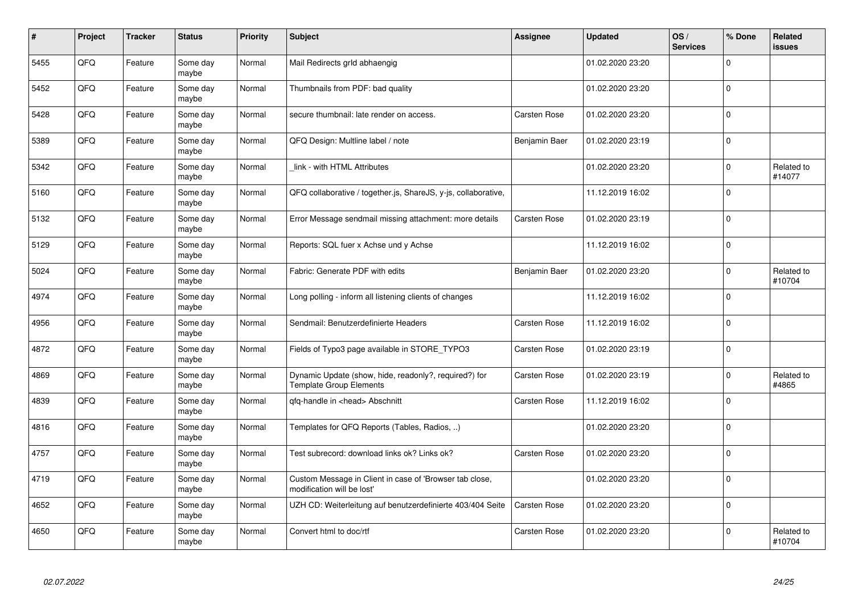| #    | Project | <b>Tracker</b> | <b>Status</b>     | <b>Priority</b> | <b>Subject</b>                                                                          | <b>Assignee</b> | <b>Updated</b>   | OS/<br><b>Services</b> | % Done      | Related<br><b>issues</b> |
|------|---------|----------------|-------------------|-----------------|-----------------------------------------------------------------------------------------|-----------------|------------------|------------------------|-------------|--------------------------|
| 5455 | QFQ     | Feature        | Some day<br>maybe | Normal          | Mail Redirects grld abhaengig                                                           |                 | 01.02.2020 23:20 |                        | $\Omega$    |                          |
| 5452 | QFQ     | Feature        | Some day<br>maybe | Normal          | Thumbnails from PDF: bad quality                                                        |                 | 01.02.2020 23:20 |                        | $\Omega$    |                          |
| 5428 | QFQ     | Feature        | Some day<br>maybe | Normal          | secure thumbnail: late render on access.                                                | Carsten Rose    | 01.02.2020 23:20 |                        | $\Omega$    |                          |
| 5389 | QFQ     | Feature        | Some day<br>maybe | Normal          | QFQ Design: Multline label / note                                                       | Benjamin Baer   | 01.02.2020 23:19 |                        | $\Omega$    |                          |
| 5342 | QFQ     | Feature        | Some day<br>maybe | Normal          | link - with HTML Attributes                                                             |                 | 01.02.2020 23:20 |                        | $\Omega$    | Related to<br>#14077     |
| 5160 | QFQ     | Feature        | Some day<br>maybe | Normal          | QFQ collaborative / together.js, ShareJS, y-js, collaborative,                          |                 | 11.12.2019 16:02 |                        | $\mathbf 0$ |                          |
| 5132 | QFQ     | Feature        | Some day<br>maybe | Normal          | Error Message sendmail missing attachment: more details                                 | Carsten Rose    | 01.02.2020 23:19 |                        | $\Omega$    |                          |
| 5129 | QFQ     | Feature        | Some day<br>maybe | Normal          | Reports: SQL fuer x Achse und y Achse                                                   |                 | 11.12.2019 16:02 |                        | $\Omega$    |                          |
| 5024 | QFQ     | Feature        | Some day<br>maybe | Normal          | Fabric: Generate PDF with edits                                                         | Benjamin Baer   | 01.02.2020 23:20 |                        | $\Omega$    | Related to<br>#10704     |
| 4974 | QFQ     | Feature        | Some day<br>maybe | Normal          | Long polling - inform all listening clients of changes                                  |                 | 11.12.2019 16:02 |                        | $\Omega$    |                          |
| 4956 | QFQ     | Feature        | Some day<br>maybe | Normal          | Sendmail: Benutzerdefinierte Headers                                                    | Carsten Rose    | 11.12.2019 16:02 |                        | $\Omega$    |                          |
| 4872 | QFQ     | Feature        | Some day<br>maybe | Normal          | Fields of Typo3 page available in STORE TYPO3                                           | Carsten Rose    | 01.02.2020 23:19 |                        | $\mathbf 0$ |                          |
| 4869 | QFQ     | Feature        | Some day<br>maybe | Normal          | Dynamic Update (show, hide, readonly?, required?) for<br><b>Template Group Elements</b> | Carsten Rose    | 01.02.2020 23:19 |                        | $\Omega$    | Related to<br>#4865      |
| 4839 | QFQ     | Feature        | Some day<br>maybe | Normal          | qfq-handle in <head> Abschnitt</head>                                                   | Carsten Rose    | 11.12.2019 16:02 |                        | $\Omega$    |                          |
| 4816 | QFQ     | Feature        | Some day<br>maybe | Normal          | Templates for QFQ Reports (Tables, Radios, )                                            |                 | 01.02.2020 23:20 |                        | $\Omega$    |                          |
| 4757 | QFQ     | Feature        | Some day<br>maybe | Normal          | Test subrecord: download links ok? Links ok?                                            | Carsten Rose    | 01.02.2020 23:20 |                        | $\Omega$    |                          |
| 4719 | QFQ     | Feature        | Some day<br>maybe | Normal          | Custom Message in Client in case of 'Browser tab close,<br>modification will be lost'   |                 | 01.02.2020 23:20 |                        | $\Omega$    |                          |
| 4652 | QFQ     | Feature        | Some day<br>maybe | Normal          | UZH CD: Weiterleitung auf benutzerdefinierte 403/404 Seite                              | Carsten Rose    | 01.02.2020 23:20 |                        | $\Omega$    |                          |
| 4650 | QFQ     | Feature        | Some day<br>maybe | Normal          | Convert html to doc/rtf                                                                 | Carsten Rose    | 01.02.2020 23:20 |                        | $\Omega$    | Related to<br>#10704     |